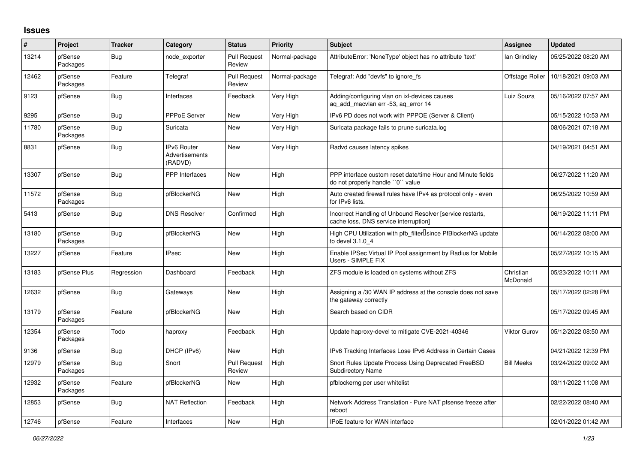## **Issues**

| #     | Project             | <b>Tracker</b> | Category                                        | <b>Status</b>                 | <b>Priority</b> | <b>Subject</b>                                                                                     | Assignee              | <b>Updated</b>      |
|-------|---------------------|----------------|-------------------------------------------------|-------------------------------|-----------------|----------------------------------------------------------------------------------------------------|-----------------------|---------------------|
| 13214 | pfSense<br>Packages | Bug            | node exporter                                   | <b>Pull Request</b><br>Review | Normal-package  | AttributeError: 'NoneType' object has no attribute 'text'                                          | lan Grindley          | 05/25/2022 08:20 AM |
| 12462 | pfSense<br>Packages | Feature        | Telegraf                                        | <b>Pull Request</b><br>Review | Normal-package  | Telegraf: Add "devfs" to ignore fs                                                                 | Offstage Roller       | 10/18/2021 09:03 AM |
| 9123  | pfSense             | Bug            | Interfaces                                      | Feedback                      | Very High       | Adding/configuring vlan on ixl-devices causes<br>ag add macvlan err -53, ag error 14               | Luiz Souza            | 05/16/2022 07:57 AM |
| 9295  | pfSense             | <b>Bug</b>     | <b>PPPoE Server</b>                             | <b>New</b>                    | Very High       | IPv6 PD does not work with PPPOE (Server & Client)                                                 |                       | 05/15/2022 10:53 AM |
| 11780 | pfSense<br>Packages | <b>Bug</b>     | Suricata                                        | New                           | Very High       | Suricata package fails to prune suricata.log                                                       |                       | 08/06/2021 07:18 AM |
| 8831  | pfSense             | Bug            | <b>IPv6 Router</b><br>Advertisements<br>(RADVD) | <b>New</b>                    | Very High       | Radvd causes latency spikes                                                                        |                       | 04/19/2021 04:51 AM |
| 13307 | pfSense             | Bug            | <b>PPP</b> Interfaces                           | New                           | High            | PPP interface custom reset date/time Hour and Minute fields<br>do not properly handle "0" value    |                       | 06/27/2022 11:20 AM |
| 11572 | pfSense<br>Packages | <b>Bug</b>     | pfBlockerNG                                     | New                           | High            | Auto created firewall rules have IPv4 as protocol only - even<br>for IPv6 lists.                   |                       | 06/25/2022 10:59 AM |
| 5413  | pfSense             | <b>Bug</b>     | <b>DNS Resolver</b>                             | Confirmed                     | High            | Incorrect Handling of Unbound Resolver [service restarts,<br>cache loss, DNS service interruption] |                       | 06/19/2022 11:11 PM |
| 13180 | pfSense<br>Packages | <b>Bug</b>     | pfBlockerNG                                     | <b>New</b>                    | High            | High CPU Utilization with pfb_filter <sup>[]</sup> since PfBlockerNG update<br>to devel 3.1.0 4    |                       | 06/14/2022 08:00 AM |
| 13227 | pfSense             | Feature        | <b>IPsec</b>                                    | <b>New</b>                    | High            | Enable IPSec Virtual IP Pool assignment by Radius for Mobile<br>Users - SIMPLE FIX                 |                       | 05/27/2022 10:15 AM |
| 13183 | pfSense Plus        | Regression     | Dashboard                                       | Feedback                      | High            | ZFS module is loaded on systems without ZFS                                                        | Christian<br>McDonald | 05/23/2022 10:11 AM |
| 12632 | pfSense             | <b>Bug</b>     | Gateways                                        | New                           | High            | Assigning a /30 WAN IP address at the console does not save<br>the gateway correctly               |                       | 05/17/2022 02:28 PM |
| 13179 | pfSense<br>Packages | Feature        | pfBlockerNG                                     | New                           | High            | Search based on CIDR                                                                               |                       | 05/17/2022 09:45 AM |
| 12354 | pfSense<br>Packages | Todo           | haproxy                                         | Feedback                      | High            | Update haproxy-devel to mitigate CVE-2021-40346                                                    | Viktor Gurov          | 05/12/2022 08:50 AM |
| 9136  | pfSense             | <b>Bug</b>     | DHCP (IPv6)                                     | <b>New</b>                    | High            | IPv6 Tracking Interfaces Lose IPv6 Address in Certain Cases                                        |                       | 04/21/2022 12:39 PM |
| 12979 | pfSense<br>Packages | <b>Bug</b>     | Snort                                           | <b>Pull Request</b><br>Review | High            | Snort Rules Update Process Using Deprecated FreeBSD<br><b>Subdirectory Name</b>                    | <b>Bill Meeks</b>     | 03/24/2022 09:02 AM |
| 12932 | pfSense<br>Packages | Feature        | pfBlockerNG                                     | New                           | High            | pfblockerng per user whitelist                                                                     |                       | 03/11/2022 11:08 AM |
| 12853 | pfSense             | Bug            | <b>NAT Reflection</b>                           | Feedback                      | High            | Network Address Translation - Pure NAT pfsense freeze after<br>reboot                              |                       | 02/22/2022 08:40 AM |
| 12746 | pfSense             | Feature        | Interfaces                                      | New                           | High            | IPoE feature for WAN interface                                                                     |                       | 02/01/2022 01:42 AM |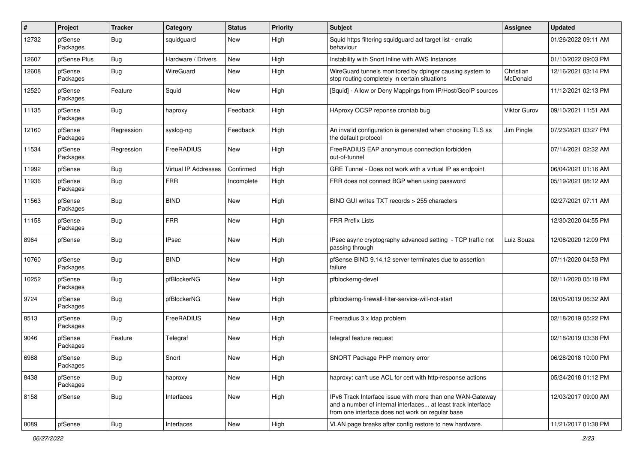| #     | Project             | <b>Tracker</b> | Category                    | <b>Status</b> | <b>Priority</b> | <b>Subject</b>                                                                                                                                                                | <b>Assignee</b>       | <b>Updated</b>      |
|-------|---------------------|----------------|-----------------------------|---------------|-----------------|-------------------------------------------------------------------------------------------------------------------------------------------------------------------------------|-----------------------|---------------------|
| 12732 | pfSense<br>Packages | Bug            | squidguard                  | New           | High            | Squid https filtering squidguard acl target list - erratic<br>behaviour                                                                                                       |                       | 01/26/2022 09:11 AM |
| 12607 | pfSense Plus        | Bug            | Hardware / Drivers          | New           | High            | Instability with Snort Inline with AWS Instances                                                                                                                              |                       | 01/10/2022 09:03 PM |
| 12608 | pfSense<br>Packages | <b>Bug</b>     | WireGuard                   | New           | High            | WireGuard tunnels monitored by dpinger causing system to<br>stop routing completely in certain situations                                                                     | Christian<br>McDonald | 12/16/2021 03:14 PM |
| 12520 | pfSense<br>Packages | Feature        | Squid                       | New           | High            | [Squid] - Allow or Deny Mappings from IP/Host/GeoIP sources                                                                                                                   |                       | 11/12/2021 02:13 PM |
| 11135 | pfSense<br>Packages | <b>Bug</b>     | haproxy                     | Feedback      | High            | HAproxy OCSP reponse crontab bug                                                                                                                                              | <b>Viktor Gurov</b>   | 09/10/2021 11:51 AM |
| 12160 | pfSense<br>Packages | Regression     | syslog-ng                   | Feedback      | High            | An invalid configuration is generated when choosing TLS as<br>the default protocol                                                                                            | Jim Pingle            | 07/23/2021 03:27 PM |
| 11534 | pfSense<br>Packages | Regression     | FreeRADIUS                  | New           | High            | FreeRADIUS EAP anonymous connection forbidden<br>out-of-tunnel                                                                                                                |                       | 07/14/2021 02:32 AM |
| 11992 | pfSense             | Bug            | <b>Virtual IP Addresses</b> | Confirmed     | High            | GRE Tunnel - Does not work with a virtual IP as endpoint                                                                                                                      |                       | 06/04/2021 01:16 AM |
| 11936 | pfSense<br>Packages | Bug            | <b>FRR</b>                  | Incomplete    | High            | FRR does not connect BGP when using password                                                                                                                                  |                       | 05/19/2021 08:12 AM |
| 11563 | pfSense<br>Packages | <b>Bug</b>     | <b>BIND</b>                 | New           | High            | BIND GUI writes TXT records > 255 characters                                                                                                                                  |                       | 02/27/2021 07:11 AM |
| 11158 | pfSense<br>Packages | <b>Bug</b>     | <b>FRR</b>                  | <b>New</b>    | High            | <b>FRR Prefix Lists</b>                                                                                                                                                       |                       | 12/30/2020 04:55 PM |
| 8964  | pfSense             | <b>Bug</b>     | IPsec                       | New           | High            | IPsec async cryptography advanced setting - TCP traffic not<br>passing through                                                                                                | Luiz Souza            | 12/08/2020 12:09 PM |
| 10760 | pfSense<br>Packages | <b>Bug</b>     | <b>BIND</b>                 | New           | High            | pfSense BIND 9.14.12 server terminates due to assertion<br>failure                                                                                                            |                       | 07/11/2020 04:53 PM |
| 10252 | pfSense<br>Packages | <b>Bug</b>     | pfBlockerNG                 | New           | High            | pfblockerng-devel                                                                                                                                                             |                       | 02/11/2020 05:18 PM |
| 9724  | pfSense<br>Packages | <b>Bug</b>     | pfBlockerNG                 | New           | High            | pfblockerng-firewall-filter-service-will-not-start                                                                                                                            |                       | 09/05/2019 06:32 AM |
| 8513  | pfSense<br>Packages | <b>Bug</b>     | FreeRADIUS                  | New           | High            | Freeradius 3.x Idap problem                                                                                                                                                   |                       | 02/18/2019 05:22 PM |
| 9046  | pfSense<br>Packages | Feature        | Telegraf                    | New           | High            | telegraf feature request                                                                                                                                                      |                       | 02/18/2019 03:38 PM |
| 6988  | pfSense<br>Packages | Bug            | Snort                       | New           | High            | SNORT Package PHP memory error                                                                                                                                                |                       | 06/28/2018 10:00 PM |
| 8438  | pfSense<br>Packages | <b>Bug</b>     | haproxy                     | New           | High            | haproxy: can't use ACL for cert with http-response actions                                                                                                                    |                       | 05/24/2018 01:12 PM |
| 8158  | pfSense             | Bug            | Interfaces                  | New           | High            | IPv6 Track Interface issue with more than one WAN-Gateway<br>and a number of internal interfaces at least track interface<br>from one interface does not work on regular base |                       | 12/03/2017 09:00 AM |
| 8089  | pfSense             | <b>Bug</b>     | Interfaces                  | New           | High            | VLAN page breaks after config restore to new hardware.                                                                                                                        |                       | 11/21/2017 01:38 PM |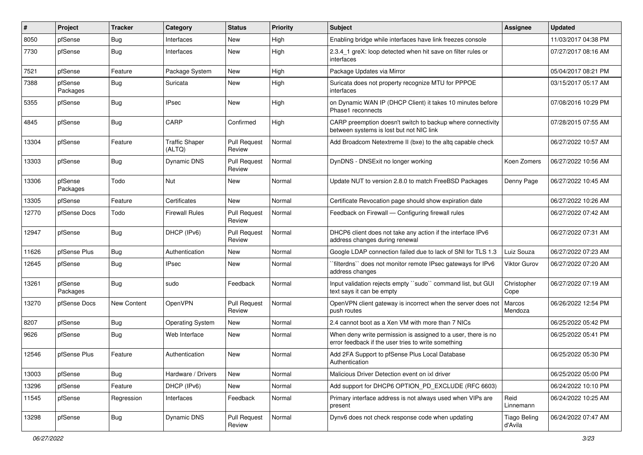| #     | Project             | <b>Tracker</b> | Category                        | <b>Status</b>                 | <b>Priority</b> | Subject                                                                                                              | <b>Assignee</b>                | <b>Updated</b>      |
|-------|---------------------|----------------|---------------------------------|-------------------------------|-----------------|----------------------------------------------------------------------------------------------------------------------|--------------------------------|---------------------|
| 8050  | pfSense             | <b>Bug</b>     | Interfaces                      | New                           | High            | Enabling bridge while interfaces have link freezes console                                                           |                                | 11/03/2017 04:38 PM |
| 7730  | pfSense             | Bug            | Interfaces                      | New                           | High            | 2.3.4 1 greX: loop detected when hit save on filter rules or<br>interfaces                                           |                                | 07/27/2017 08:16 AM |
| 7521  | pfSense             | Feature        | Package System                  | New                           | High            | Package Updates via Mirror                                                                                           |                                | 05/04/2017 08:21 PM |
| 7388  | pfSense<br>Packages | <b>Bug</b>     | Suricata                        | New                           | High            | Suricata does not property recognize MTU for PPPOE<br>interfaces                                                     |                                | 03/15/2017 05:17 AM |
| 5355  | pfSense             | <b>Bug</b>     | IPsec                           | New                           | High            | on Dynamic WAN IP (DHCP Client) it takes 10 minutes before<br>Phase1 reconnects                                      |                                | 07/08/2016 10:29 PM |
| 4845  | pfSense             | <b>Bug</b>     | CARP                            | Confirmed                     | High            | CARP preemption doesn't switch to backup where connectivity<br>between systems is lost but not NIC link              |                                | 07/28/2015 07:55 AM |
| 13304 | pfSense             | Feature        | <b>Traffic Shaper</b><br>(ALTQ) | <b>Pull Request</b><br>Review | Normal          | Add Broadcom Netextreme II (bxe) to the altg capable check                                                           |                                | 06/27/2022 10:57 AM |
| 13303 | pfSense             | <b>Bug</b>     | <b>Dynamic DNS</b>              | <b>Pull Request</b><br>Review | Normal          | DynDNS - DNSExit no longer working                                                                                   | Koen Zomers                    | 06/27/2022 10:56 AM |
| 13306 | pfSense<br>Packages | Todo           | Nut                             | New                           | Normal          | Update NUT to version 2.8.0 to match FreeBSD Packages                                                                | Denny Page                     | 06/27/2022 10:45 AM |
| 13305 | pfSense             | Feature        | Certificates                    | New                           | Normal          | Certificate Revocation page should show expiration date                                                              |                                | 06/27/2022 10:26 AM |
| 12770 | pfSense Docs        | Todo           | <b>Firewall Rules</b>           | <b>Pull Request</b><br>Review | Normal          | Feedback on Firewall - Configuring firewall rules                                                                    |                                | 06/27/2022 07:42 AM |
| 12947 | pfSense             | <b>Bug</b>     | DHCP (IPv6)                     | <b>Pull Request</b><br>Review | Normal          | DHCP6 client does not take any action if the interface IPv6<br>address changes during renewal                        |                                | 06/27/2022 07:31 AM |
| 11626 | pfSense Plus        | Bug            | Authentication                  | New                           | Normal          | Google LDAP connection failed due to lack of SNI for TLS 1.3                                                         | Luiz Souza                     | 06/27/2022 07:23 AM |
| 12645 | pfSense             | <b>Bug</b>     | IPsec                           | New                           | Normal          | `filterdns`` does not monitor remote IPsec gateways for IPv6<br>address changes                                      | Viktor Gurov                   | 06/27/2022 07:20 AM |
| 13261 | pfSense<br>Packages | Bug            | sudo                            | Feedback                      | Normal          | Input validation rejects empty "sudo" command list, but GUI<br>text says it can be empty                             | Christopher<br>Cope            | 06/27/2022 07:19 AM |
| 13270 | pfSense Docs        | New Content    | OpenVPN                         | Pull Request<br>Review        | Normal          | OpenVPN client gateway is incorrect when the server does not<br>push routes                                          | Marcos<br>Mendoza              | 06/26/2022 12:54 PM |
| 8207  | pfSense             | <b>Bug</b>     | Operating System                | New                           | Normal          | 2.4 cannot boot as a Xen VM with more than 7 NICs                                                                    |                                | 06/25/2022 05:42 PM |
| 9626  | pfSense             | <b>Bug</b>     | Web Interface                   | New                           | Normal          | When deny write permission is assigned to a user, there is no<br>error feedback if the user tries to write something |                                | 06/25/2022 05:41 PM |
| 12546 | pfSense Plus        | Feature        | Authentication                  | New                           | Normal          | Add 2FA Support to pfSense Plus Local Database<br>Authentication                                                     |                                | 06/25/2022 05:30 PM |
| 13003 | pfSense             | Bug            | Hardware / Drivers              | New                           | Normal          | Malicious Driver Detection event on ixl driver                                                                       |                                | 06/25/2022 05:00 PM |
| 13296 | pfSense             | Feature        | DHCP (IPv6)                     | New                           | Normal          | Add support for DHCP6 OPTION PD EXCLUDE (RFC 6603)                                                                   |                                | 06/24/2022 10:10 PM |
| 11545 | pfSense             | Regression     | Interfaces                      | Feedback                      | Normal          | Primary interface address is not always used when VIPs are<br>present                                                | Reid<br>Linnemann              | 06/24/2022 10:25 AM |
| 13298 | pfSense             | <b>Bug</b>     | <b>Dynamic DNS</b>              | <b>Pull Request</b><br>Review | Normal          | Dynv6 does not check response code when updating                                                                     | <b>Tiago Beling</b><br>d'Avila | 06/24/2022 07:47 AM |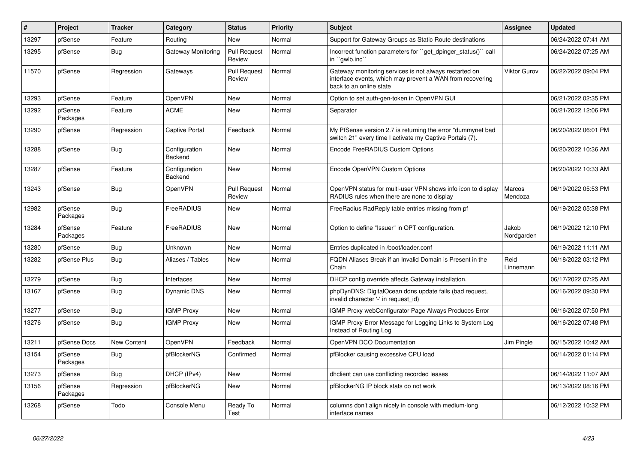| #     | <b>Project</b>      | <b>Tracker</b>     | Category                 | <b>Status</b>                 | <b>Priority</b> | <b>Subject</b>                                                                                                                                 | <b>Assignee</b>     | <b>Updated</b>      |
|-------|---------------------|--------------------|--------------------------|-------------------------------|-----------------|------------------------------------------------------------------------------------------------------------------------------------------------|---------------------|---------------------|
| 13297 | pfSense             | Feature            | Routing                  | <b>New</b>                    | Normal          | Support for Gateway Groups as Static Route destinations                                                                                        |                     | 06/24/2022 07:41 AM |
| 13295 | pfSense             | Bug                | Gateway Monitoring       | Pull Request<br>Review        | Normal          | Incorrect function parameters for "get_dpinger_status()" call<br>in `gwlb.inc`                                                                 |                     | 06/24/2022 07:25 AM |
| 11570 | pfSense             | Regression         | Gateways                 | <b>Pull Request</b><br>Review | Normal          | Gateway monitoring services is not always restarted on<br>interface events, which may prevent a WAN from recovering<br>back to an online state | Viktor Gurov        | 06/22/2022 09:04 PM |
| 13293 | pfSense             | Feature            | <b>OpenVPN</b>           | <b>New</b>                    | Normal          | Option to set auth-gen-token in OpenVPN GUI                                                                                                    |                     | 06/21/2022 02:35 PM |
| 13292 | pfSense<br>Packages | Feature            | <b>ACME</b>              | <b>New</b>                    | Normal          | Separator                                                                                                                                      |                     | 06/21/2022 12:06 PM |
| 13290 | pfSense             | Regression         | Captive Portal           | Feedback                      | Normal          | My PfSense version 2.7 is returning the error "dummynet bad<br>switch 21" every time I activate my Captive Portals (7).                        |                     | 06/20/2022 06:01 PM |
| 13288 | pfSense             | Bug                | Configuration<br>Backend | New                           | Normal          | Encode FreeRADIUS Custom Options                                                                                                               |                     | 06/20/2022 10:36 AM |
| 13287 | pfSense             | Feature            | Configuration<br>Backend | <b>New</b>                    | Normal          | Encode OpenVPN Custom Options                                                                                                                  |                     | 06/20/2022 10:33 AM |
| 13243 | pfSense             | Bug                | <b>OpenVPN</b>           | <b>Pull Request</b><br>Review | Normal          | OpenVPN status for multi-user VPN shows info icon to display<br>RADIUS rules when there are none to display                                    | Marcos<br>Mendoza   | 06/19/2022 05:53 PM |
| 12982 | pfSense<br>Packages | Bug                | FreeRADIUS               | <b>New</b>                    | Normal          | FreeRadius RadReply table entries missing from pf                                                                                              |                     | 06/19/2022 05:38 PM |
| 13284 | pfSense<br>Packages | Feature            | FreeRADIUS               | New                           | Normal          | Option to define "Issuer" in OPT configuration.                                                                                                | Jakob<br>Nordgarden | 06/19/2022 12:10 PM |
| 13280 | pfSense             | <b>Bug</b>         | Unknown                  | <b>New</b>                    | Normal          | Entries duplicated in /boot/loader.conf                                                                                                        |                     | 06/19/2022 11:11 AM |
| 13282 | pfSense Plus        | Bug                | Aliases / Tables         | New                           | Normal          | FQDN Aliases Break if an Invalid Domain is Present in the<br>Chain                                                                             | Reid<br>Linnemann   | 06/18/2022 03:12 PM |
| 13279 | pfSense             | <b>Bug</b>         | Interfaces               | New                           | Normal          | DHCP config override affects Gateway installation.                                                                                             |                     | 06/17/2022 07:25 AM |
| 13167 | pfSense             | <b>Bug</b>         | Dynamic DNS              | <b>New</b>                    | Normal          | phpDynDNS: DigitalOcean ddns update fails (bad request,<br>invalid character '-' in request_id)                                                |                     | 06/16/2022 09:30 PM |
| 13277 | pfSense             | <b>Bug</b>         | <b>IGMP Proxy</b>        | New                           | Normal          | IGMP Proxy webConfigurator Page Always Produces Error                                                                                          |                     | 06/16/2022 07:50 PM |
| 13276 | pfSense             | <b>Bug</b>         | <b>IGMP Proxy</b>        | New                           | Normal          | IGMP Proxy Error Message for Logging Links to System Log<br>Instead of Routing Log                                                             |                     | 06/16/2022 07:48 PM |
| 13211 | pfSense Docs        | <b>New Content</b> | OpenVPN                  | Feedback                      | Normal          | OpenVPN DCO Documentation                                                                                                                      | Jim Pingle          | 06/15/2022 10:42 AM |
| 13154 | pfSense<br>Packages | <b>Bug</b>         | pfBlockerNG              | Confirmed                     | Normal          | pfBlocker causing excessive CPU load                                                                                                           |                     | 06/14/2022 01:14 PM |
| 13273 | pfSense             | <b>Bug</b>         | DHCP (IPv4)              | New                           | Normal          | dhclient can use conflicting recorded leases                                                                                                   |                     | 06/14/2022 11:07 AM |
| 13156 | pfSense<br>Packages | Regression         | pfBlockerNG              | New                           | Normal          | pfBlockerNG IP block stats do not work                                                                                                         |                     | 06/13/2022 08:16 PM |
| 13268 | pfSense             | Todo               | Console Menu             | Ready To<br>Test              | Normal          | columns don't align nicely in console with medium-long<br>interface names                                                                      |                     | 06/12/2022 10:32 PM |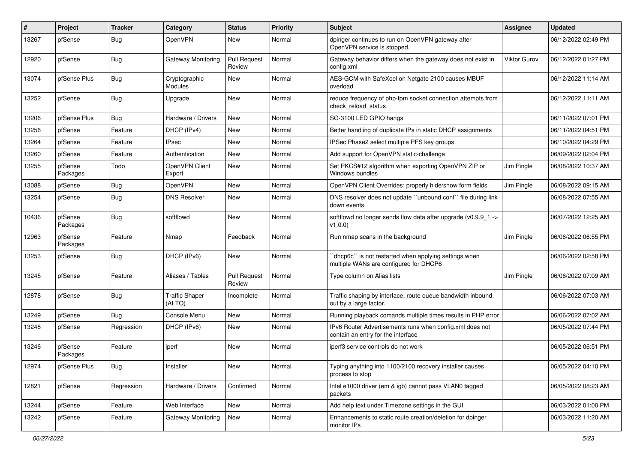| ∦     | Project             | <b>Tracker</b> | Category                        | <b>Status</b>                 | <b>Priority</b> | <b>Subject</b>                                                                                   | <b>Assignee</b> | <b>Updated</b>      |
|-------|---------------------|----------------|---------------------------------|-------------------------------|-----------------|--------------------------------------------------------------------------------------------------|-----------------|---------------------|
| 13267 | pfSense             | <b>Bug</b>     | OpenVPN                         | New                           | Normal          | dpinger continues to run on OpenVPN gateway after<br>OpenVPN service is stopped.                 |                 | 06/12/2022 02:49 PM |
| 12920 | pfSense             | <b>Bug</b>     | Gateway Monitoring              | <b>Pull Request</b><br>Review | Normal          | Gateway behavior differs when the gateway does not exist in<br>config.xml                        | Viktor Gurov    | 06/12/2022 01:27 PM |
| 13074 | pfSense Plus        | <b>Bug</b>     | Cryptographic<br><b>Modules</b> | New                           | Normal          | AES-GCM with SafeXcel on Netgate 2100 causes MBUF<br>overload                                    |                 | 06/12/2022 11:14 AM |
| 13252 | pfSense             | <b>Bug</b>     | Upgrade                         | New                           | Normal          | reduce frequency of php-fpm socket connection attempts from<br>check reload status               |                 | 06/12/2022 11:11 AM |
| 13206 | pfSense Plus        | Bug            | Hardware / Drivers              | New                           | Normal          | SG-3100 LED GPIO hangs                                                                           |                 | 06/11/2022 07:01 PM |
| 13256 | pfSense             | Feature        | DHCP (IPv4)                     | New                           | Normal          | Better handling of duplicate IPs in static DHCP assignments                                      |                 | 06/11/2022 04:51 PM |
| 13264 | pfSense             | Feature        | IPsec                           | New                           | Normal          | IPSec Phase2 select multiple PFS key groups                                                      |                 | 06/10/2022 04:29 PM |
| 13260 | pfSense             | Feature        | Authentication                  | New                           | Normal          | Add support for OpenVPN static-challenge                                                         |                 | 06/09/2022 02:04 PM |
| 13255 | pfSense<br>Packages | Todo           | OpenVPN Client<br>Export        | New                           | Normal          | Set PKCS#12 algorithm when exporting OpenVPN ZIP or<br>Windows bundles                           | Jim Pingle      | 06/08/2022 10:37 AM |
| 13088 | pfSense             | <b>Bug</b>     | OpenVPN                         | New                           | Normal          | OpenVPN Client Overrides: properly hide/show form fields                                         | Jim Pingle      | 06/08/2022 09:15 AM |
| 13254 | pfSense             | <b>Bug</b>     | <b>DNS Resolver</b>             | New                           | Normal          | DNS resolver does not update "unbound.conf" file during link<br>down events                      |                 | 06/08/2022 07:55 AM |
| 10436 | pfSense<br>Packages | <b>Bug</b>     | softflowd                       | New                           | Normal          | softflowd no longer sends flow data after upgrade (v0.9.9 1 -><br>v1.0.0                         |                 | 06/07/2022 12:25 AM |
| 12963 | pfSense<br>Packages | Feature        | Nmap                            | Feedback                      | Normal          | Run nmap scans in the background                                                                 | Jim Pingle      | 06/06/2022 06:55 PM |
| 13253 | pfSense             | <b>Bug</b>     | DHCP (IPv6)                     | New                           | Normal          | 'dhcp6c'' is not restarted when applying settings when<br>multiple WANs are configured for DHCP6 |                 | 06/06/2022 02:58 PM |
| 13245 | pfSense             | Feature        | Aliases / Tables                | Pull Request<br>Review        | Normal          | Type column on Alias lists                                                                       | Jim Pingle      | 06/06/2022 07:09 AM |
| 12878 | pfSense             | <b>Bug</b>     | <b>Traffic Shaper</b><br>(ALTQ) | Incomplete                    | Normal          | Traffic shaping by interface, route queue bandwidth inbound,<br>out by a large factor.           |                 | 06/06/2022 07:03 AM |
| 13249 | pfSense             | <b>Bug</b>     | Console Menu                    | New                           | Normal          | Running playback comands multiple times results in PHP error                                     |                 | 06/06/2022 07:02 AM |
| 13248 | pfSense             | Regression     | DHCP (IPv6)                     | New                           | Normal          | IPv6 Router Advertisements runs when config.xml does not<br>contain an entry for the interface   |                 | 06/05/2022 07:44 PM |
| 13246 | pfSense<br>Packages | Feature        | iperf                           | New                           | Normal          | iperf3 service controls do not work                                                              |                 | 06/05/2022 06:51 PM |
| 12974 | pfSense Plus        | Bug            | Installer                       | New                           | Normal          | Typing anything into 1100/2100 recovery installer causes<br>process to stop                      |                 | 06/05/2022 04:10 PM |
| 12821 | pfSense             | Regression     | Hardware / Drivers              | Confirmed                     | Normal          | Intel e1000 driver (em & igb) cannot pass VLAN0 tagged<br>packets                                |                 | 06/05/2022 08:23 AM |
| 13244 | pfSense             | Feature        | Web Interface                   | New                           | Normal          | Add help text under Timezone settings in the GUI                                                 |                 | 06/03/2022 01:00 PM |
| 13242 | pfSense             | Feature        | Gateway Monitoring              | New                           | Normal          | Enhancements to static route creation/deletion for dpinger<br>monitor IPs                        |                 | 06/03/2022 11:20 AM |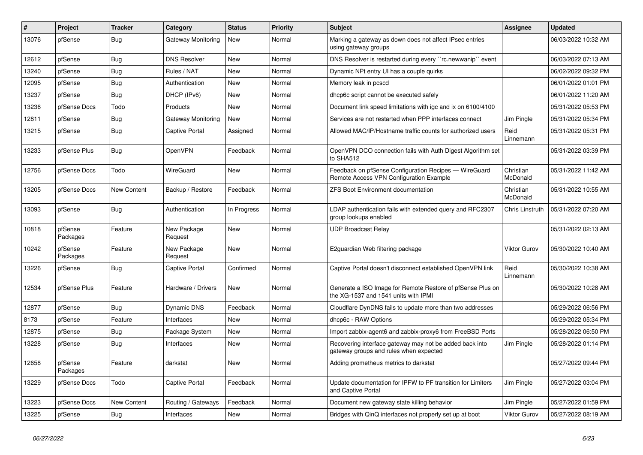| $\vert$ # | <b>Project</b>      | <b>Tracker</b>     | Category               | <b>Status</b> | <b>Priority</b> | <b>Subject</b>                                                                                     | <b>Assignee</b>       | <b>Updated</b>      |
|-----------|---------------------|--------------------|------------------------|---------------|-----------------|----------------------------------------------------------------------------------------------------|-----------------------|---------------------|
| 13076     | pfSense             | <b>Bug</b>         | Gateway Monitoring     | <b>New</b>    | Normal          | Marking a gateway as down does not affect IPsec entries<br>using gateway groups                    |                       | 06/03/2022 10:32 AM |
| 12612     | pfSense             | <b>Bug</b>         | <b>DNS Resolver</b>    | New           | Normal          | DNS Resolver is restarted during every "rc.newwanip" event                                         |                       | 06/03/2022 07:13 AM |
| 13240     | pfSense             | Bug                | Rules / NAT            | New           | Normal          | Dynamic NPt entry UI has a couple quirks                                                           |                       | 06/02/2022 09:32 PM |
| 12095     | pfSense             | <b>Bug</b>         | Authentication         | New           | Normal          | Memory leak in pcscd                                                                               |                       | 06/01/2022 01:01 PM |
| 13237     | pfSense             | <b>Bug</b>         | DHCP (IPv6)            | New           | Normal          | dhcp6c script cannot be executed safely                                                            |                       | 06/01/2022 11:20 AM |
| 13236     | pfSense Docs        | Todo               | Products               | <b>New</b>    | Normal          | Document link speed limitations with igc and ix on 6100/4100                                       |                       | 05/31/2022 05:53 PM |
| 12811     | pfSense             | <b>Bug</b>         | Gateway Monitoring     | New           | Normal          | Services are not restarted when PPP interfaces connect                                             | Jim Pingle            | 05/31/2022 05:34 PM |
| 13215     | pfSense             | <b>Bug</b>         | Captive Portal         | Assigned      | Normal          | Allowed MAC/IP/Hostname traffic counts for authorized users                                        | Reid<br>Linnemann     | 05/31/2022 05:31 PM |
| 13233     | pfSense Plus        | Bug                | <b>OpenVPN</b>         | Feedback      | Normal          | OpenVPN DCO connection fails with Auth Digest Algorithm set<br>to SHA512                           |                       | 05/31/2022 03:39 PM |
| 12756     | pfSense Docs        | Todo               | <b>WireGuard</b>       | New           | Normal          | Feedback on pfSense Configuration Recipes - WireGuard<br>Remote Access VPN Configuration Example   | Christian<br>McDonald | 05/31/2022 11:42 AM |
| 13205     | pfSense Docs        | New Content        | Backup / Restore       | Feedback      | Normal          | <b>ZFS Boot Environment documentation</b>                                                          | Christian<br>McDonald | 05/31/2022 10:55 AM |
| 13093     | pfSense             | Bug                | Authentication         | In Progress   | Normal          | LDAP authentication fails with extended query and RFC2307<br>group lookups enabled                 | Chris Linstruth       | 05/31/2022 07:20 AM |
| 10818     | pfSense<br>Packages | Feature            | New Package<br>Request | New           | Normal          | <b>UDP Broadcast Relay</b>                                                                         |                       | 05/31/2022 02:13 AM |
| 10242     | pfSense<br>Packages | Feature            | New Package<br>Request | New           | Normal          | E2quardian Web filtering package                                                                   | <b>Viktor Gurov</b>   | 05/30/2022 10:40 AM |
| 13226     | pfSense             | Bug                | Captive Portal         | Confirmed     | Normal          | Captive Portal doesn't disconnect established OpenVPN link                                         | Reid<br>Linnemann     | 05/30/2022 10:38 AM |
| 12534     | pfSense Plus        | Feature            | Hardware / Drivers     | <b>New</b>    | Normal          | Generate a ISO Image for Remote Restore of pfSense Plus on<br>the XG-1537 and 1541 units with IPMI |                       | 05/30/2022 10:28 AM |
| 12877     | pfSense             | Bug                | Dynamic DNS            | Feedback      | Normal          | Cloudflare DynDNS fails to update more than two addresses                                          |                       | 05/29/2022 06:56 PM |
| 8173      | pfSense             | Feature            | Interfaces             | New           | Normal          | dhcp6c - RAW Options                                                                               |                       | 05/29/2022 05:34 PM |
| 12875     | pfSense             | <b>Bug</b>         | Package System         | New           | Normal          | Import zabbix-agent6 and zabbix-proxy6 from FreeBSD Ports                                          |                       | 05/28/2022 06:50 PM |
| 13228     | pfSense             | Bug                | Interfaces             | New           | Normal          | Recovering interface gateway may not be added back into<br>gateway groups and rules when expected  | Jim Pingle            | 05/28/2022 01:14 PM |
| 12658     | pfSense<br>Packages | Feature            | darkstat               | New           | Normal          | Adding prometheus metrics to darkstat                                                              |                       | 05/27/2022 09:44 PM |
| 13229     | pfSense Docs        | Todo               | Captive Portal         | Feedback      | Normal          | Update documentation for IPFW to PF transition for Limiters<br>and Captive Portal                  | Jim Pingle            | 05/27/2022 03:04 PM |
| 13223     | pfSense Docs        | <b>New Content</b> | Routing / Gateways     | Feedback      | Normal          | Document new gateway state killing behavior                                                        | Jim Pingle            | 05/27/2022 01:59 PM |
| 13225     | pfSense             | <b>Bug</b>         | Interfaces             | New           | Normal          | Bridges with QinQ interfaces not properly set up at boot                                           | <b>Viktor Gurov</b>   | 05/27/2022 08:19 AM |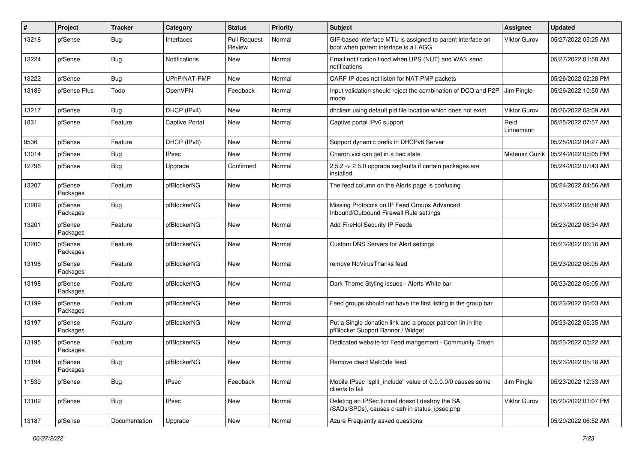| #     | Project             | <b>Tracker</b> | Category              | <b>Status</b>                 | <b>Priority</b> | <b>Subject</b>                                                                                     | Assignee            | <b>Updated</b>      |
|-------|---------------------|----------------|-----------------------|-------------------------------|-----------------|----------------------------------------------------------------------------------------------------|---------------------|---------------------|
| 13218 | pfSense             | Bug            | Interfaces            | <b>Pull Request</b><br>Review | Normal          | GIF-based interface MTU is assigned to parent interface on<br>boot when parent interface is a LAGG | Viktor Gurov        | 05/27/2022 05:25 AM |
| 13224 | pfSense             | Bug            | Notifications         | New                           | Normal          | Email notification flood when UPS (NUT) and WAN send<br>notifications                              |                     | 05/27/2022 01:58 AM |
| 13222 | pfSense             | <b>Bug</b>     | UPnP/NAT-PMP          | New                           | Normal          | CARP IP does not listen for NAT-PMP packets                                                        |                     | 05/26/2022 02:28 PM |
| 13189 | pfSense Plus        | Todo           | OpenVPN               | Feedback                      | Normal          | Input validation should reject the combination of DCO and P2P<br>mode                              | Jim Pingle          | 05/26/2022 10:50 AM |
| 13217 | pfSense             | Bug            | DHCP (IPv4)           | New                           | Normal          | dhclient using default pid file location which does not exist                                      | <b>Viktor Gurov</b> | 05/26/2022 08:09 AM |
| 1831  | pfSense             | Feature        | <b>Captive Portal</b> | New                           | Normal          | Captive portal IPv6 support                                                                        | Reid<br>Linnemann   | 05/25/2022 07:57 AM |
| 9536  | pfSense             | Feature        | DHCP (IPv6)           | New                           | Normal          | Support dynamic prefix in DHCPv6 Server                                                            |                     | 05/25/2022 04:27 AM |
| 13014 | pfSense             | <b>Bug</b>     | <b>IPsec</b>          | New                           | Normal          | Charon.vici can get in a bad state                                                                 | Mateusz Guzik       | 05/24/2022 05:05 PM |
| 12796 | pfSense             | <b>Bug</b>     | Upgrade               | Confirmed                     | Normal          | 2.5.2 -> 2.6.0 upgrade segfaults if certain packages are<br>installed.                             |                     | 05/24/2022 07:43 AM |
| 13207 | pfSense<br>Packages | Feature        | pfBlockerNG           | New                           | Normal          | The feed column on the Alerts page is confusing                                                    |                     | 05/24/2022 04:56 AM |
| 13202 | pfSense<br>Packages | <b>Bug</b>     | pfBlockerNG           | New                           | Normal          | Missing Protocols on IP Feed Groups Advanced<br>Inbound/Outbound Firewall Rule settings            |                     | 05/23/2022 08:58 AM |
| 13201 | pfSense<br>Packages | Feature        | pfBlockerNG           | New                           | Normal          | Add FireHol Security IP Feeds                                                                      |                     | 05/23/2022 06:34 AM |
| 13200 | pfSense<br>Packages | Feature        | pfBlockerNG           | New                           | Normal          | Custom DNS Servers for Alert settings                                                              |                     | 05/23/2022 06:16 AM |
| 13196 | pfSense<br>Packages | Feature        | pfBlockerNG           | New                           | Normal          | remove NoVirusThanks feed                                                                          |                     | 05/23/2022 06:05 AM |
| 13198 | pfSense<br>Packages | Feature        | pfBlockerNG           | New                           | Normal          | Dark Theme Styling issues - Alerts White bar                                                       |                     | 05/23/2022 06:05 AM |
| 13199 | pfSense<br>Packages | Feature        | pfBlockerNG           | New                           | Normal          | Feed groups should not have the first listing in the group bar                                     |                     | 05/23/2022 06:03 AM |
| 13197 | pfSense<br>Packages | Feature        | pfBlockerNG           | New                           | Normal          | Put a Single donation link and a proper patreon lin in the<br>pfBlocker Support Banner / Widget    |                     | 05/23/2022 05:35 AM |
| 13195 | pfSense<br>Packages | Feature        | pfBlockerNG           | New                           | Normal          | Dedicated website for Feed mangement - Community Driven                                            |                     | 05/23/2022 05:22 AM |
| 13194 | pfSense<br>Packages | Bug            | pfBlockerNG           | New                           | Normal          | Remove dead Malc0de feed                                                                           |                     | 05/23/2022 05:16 AM |
| 11539 | pfSense             | Bug            | <b>IPsec</b>          | Feedback                      | Normal          | Mobile IPsec "split include" value of 0.0.0.0/0 causes some<br>clients to fail                     | Jim Pingle          | 05/23/2022 12:33 AM |
| 13102 | pfSense             | Bug            | <b>IPsec</b>          | New                           | Normal          | Deleting an IPSec tunnel doesn't destroy the SA<br>(SADs/SPDs), causes crash in status_ipsec.php   | <b>Viktor Gurov</b> | 05/20/2022 01:07 PM |
| 13187 | pfSense             | Documentation  | Upgrade               | New                           | Normal          | Azure Frequently asked questions                                                                   |                     | 05/20/2022 06:52 AM |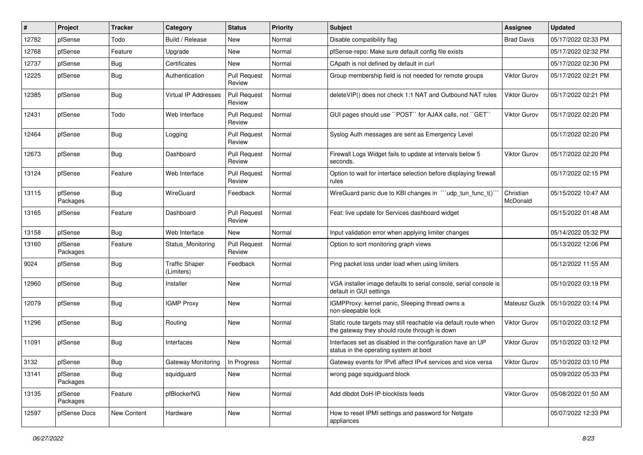| #     | Project             | <b>Tracker</b> | Category                            | <b>Status</b>                 | <b>Priority</b> | Subject                                                                                                          | <b>Assignee</b>       | <b>Updated</b>      |
|-------|---------------------|----------------|-------------------------------------|-------------------------------|-----------------|------------------------------------------------------------------------------------------------------------------|-----------------------|---------------------|
| 12782 | pfSense             | Todo           | Build / Release                     | New                           | Normal          | Disable compatibility flag                                                                                       | <b>Brad Davis</b>     | 05/17/2022 02:33 PM |
| 12768 | pfSense             | Feature        | Upgrade                             | New                           | Normal          | pfSense-repo: Make sure default config file exists                                                               |                       | 05/17/2022 02:32 PM |
| 12737 | pfSense             | <b>Bug</b>     | Certificates                        | New                           | Normal          | CApath is not defined by default in curl                                                                         |                       | 05/17/2022 02:30 PM |
| 12225 | pfSense             | Bug            | Authentication                      | <b>Pull Request</b><br>Review | Normal          | Group membership field is not needed for remote groups                                                           | Viktor Gurov          | 05/17/2022 02:21 PM |
| 12385 | pfSense             | <b>Bug</b>     | <b>Virtual IP Addresses</b>         | <b>Pull Request</b><br>Review | Normal          | deleteVIP() does not check 1:1 NAT and Outbound NAT rules                                                        | Viktor Gurov          | 05/17/2022 02:21 PM |
| 12431 | pfSense             | Todo           | Web Interface                       | <b>Pull Request</b><br>Review | Normal          | GUI pages should use "POST" for AJAX calls, not "GET"                                                            | Viktor Gurov          | 05/17/2022 02:20 PM |
| 12464 | pfSense             | <b>Bug</b>     | Logging                             | <b>Pull Request</b><br>Review | Normal          | Syslog Auth messages are sent as Emergency Level                                                                 |                       | 05/17/2022 02:20 PM |
| 12673 | pfSense             | Bug            | Dashboard                           | <b>Pull Request</b><br>Review | Normal          | Firewall Logs Widget fails to update at intervals below 5<br>seconds.                                            | Viktor Gurov          | 05/17/2022 02:20 PM |
| 13124 | pfSense             | Feature        | Web Interface                       | <b>Pull Request</b><br>Review | Normal          | Option to wait for interface selection before displaying firewall<br>rules                                       |                       | 05/17/2022 02:15 PM |
| 13115 | pfSense<br>Packages | Bug            | WireGuard                           | Feedback                      | Normal          | WireGuard panic due to KBI changes in "'udp tun func t()'                                                        | Christian<br>McDonald | 05/15/2022 10:47 AM |
| 13165 | pfSense             | Feature        | Dashboard                           | <b>Pull Request</b><br>Review | Normal          | Feat: live update for Services dashboard widget                                                                  |                       | 05/15/2022 01:48 AM |
| 13158 | pfSense             | Bug            | Web Interface                       | New                           | Normal          | Input validation error when applying limiter changes                                                             |                       | 05/14/2022 05:32 PM |
| 13160 | pfSense<br>Packages | Feature        | Status Monitoring                   | <b>Pull Request</b><br>Review | Normal          | Option to sort monitoring graph views                                                                            |                       | 05/13/2022 12:06 PM |
| 9024  | pfSense             | Bug            | <b>Traffic Shaper</b><br>(Limiters) | Feedback                      | Normal          | Ping packet loss under load when using limiters                                                                  |                       | 05/12/2022 11:55 AM |
| 12960 | pfSense             | Bug            | Installer                           | New                           | Normal          | VGA installer image defaults to serial console, serial console is<br>default in GUI settings                     |                       | 05/10/2022 03:19 PM |
| 12079 | pfSense             | Bug            | <b>IGMP Proxy</b>                   | New                           | Normal          | IGMPProxy: kernel panic, Sleeping thread owns a<br>non-sleepable lock                                            | Mateusz Guzik         | 05/10/2022 03:14 PM |
| 11296 | pfSense             | <b>Bug</b>     | Routing                             | New                           | Normal          | Static route targets may still reachable via default route when<br>the gateway they should route through is down | Viktor Gurov          | 05/10/2022 03:12 PM |
| 11091 | pfSense             | <b>Bug</b>     | Interfaces                          | New                           | Normal          | Interfaces set as disabled in the configuration have an UP<br>status in the operating system at boot             | <b>Viktor Gurov</b>   | 05/10/2022 03:12 PM |
| 3132  | pfSense             | Bug            | Gateway Monitoring                  | In Progress                   | Normal          | Gateway events for IPv6 affect IPv4 services and vice versa                                                      | <b>Viktor Gurov</b>   | 05/10/2022 03:10 PM |
| 13141 | pfSense<br>Packages | Bug            | squidguard                          | New                           | Normal          | wrong page squidguard block                                                                                      |                       | 05/09/2022 05:33 PM |
| 13135 | pfSense<br>Packages | Feature        | pfBlockerNG                         | New                           | Normal          | Add dibdot DoH-IP-blocklists feeds                                                                               | <b>Viktor Gurov</b>   | 05/08/2022 01:50 AM |
| 12597 | pfSense Docs        | New Content    | Hardware                            | New                           | Normal          | How to reset IPMI settings and password for Netgate<br>appliances                                                |                       | 05/07/2022 12:33 PM |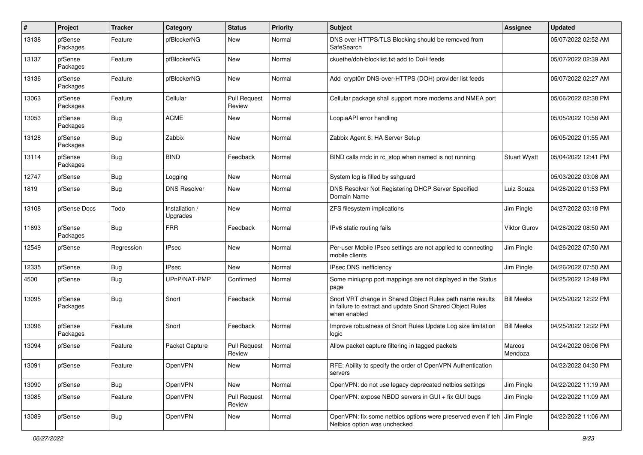| $\sharp$ | Project             | <b>Tracker</b> | Category                   | <b>Status</b>                 | <b>Priority</b> | Subject                                                                                                                                 | Assignee            | <b>Updated</b>      |
|----------|---------------------|----------------|----------------------------|-------------------------------|-----------------|-----------------------------------------------------------------------------------------------------------------------------------------|---------------------|---------------------|
| 13138    | pfSense<br>Packages | Feature        | pfBlockerNG                | <b>New</b>                    | Normal          | DNS over HTTPS/TLS Blocking should be removed from<br>SafeSearch                                                                        |                     | 05/07/2022 02:52 AM |
| 13137    | pfSense<br>Packages | Feature        | pfBlockerNG                | <b>New</b>                    | Normal          | ckuethe/doh-blocklist.txt add to DoH feeds                                                                                              |                     | 05/07/2022 02:39 AM |
| 13136    | pfSense<br>Packages | Feature        | pfBlockerNG                | <b>New</b>                    | Normal          | Add crypt0rr DNS-over-HTTPS (DOH) provider list feeds                                                                                   |                     | 05/07/2022 02:27 AM |
| 13063    | pfSense<br>Packages | Feature        | Cellular                   | <b>Pull Request</b><br>Review | Normal          | Cellular package shall support more modems and NMEA port                                                                                |                     | 05/06/2022 02:38 PM |
| 13053    | pfSense<br>Packages | Bug            | <b>ACME</b>                | New                           | Normal          | LoopiaAPI error handling                                                                                                                |                     | 05/05/2022 10:58 AM |
| 13128    | pfSense<br>Packages | <b>Bug</b>     | Zabbix                     | New                           | Normal          | Zabbix Agent 6: HA Server Setup                                                                                                         |                     | 05/05/2022 01:55 AM |
| 13114    | pfSense<br>Packages | <b>Bug</b>     | <b>BIND</b>                | Feedback                      | Normal          | BIND calls rndc in rc_stop when named is not running                                                                                    | <b>Stuart Wyatt</b> | 05/04/2022 12:41 PM |
| 12747    | pfSense             | <b>Bug</b>     | Logging                    | <b>New</b>                    | Normal          | System log is filled by sshguard                                                                                                        |                     | 05/03/2022 03:08 AM |
| 1819     | pfSense             | <b>Bug</b>     | <b>DNS Resolver</b>        | <b>New</b>                    | Normal          | DNS Resolver Not Registering DHCP Server Specified<br>Domain Name                                                                       | Luiz Souza          | 04/28/2022 01:53 PM |
| 13108    | pfSense Docs        | Todo           | Installation /<br>Upgrades | <b>New</b>                    | Normal          | ZFS filesystem implications                                                                                                             | Jim Pingle          | 04/27/2022 03:18 PM |
| 11693    | pfSense<br>Packages | Bug            | <b>FRR</b>                 | Feedback                      | Normal          | IPv6 static routing fails                                                                                                               | Viktor Gurov        | 04/26/2022 08:50 AM |
| 12549    | pfSense             | Regression     | <b>IPsec</b>               | New                           | Normal          | Per-user Mobile IPsec settings are not applied to connecting<br>mobile clients                                                          | Jim Pingle          | 04/26/2022 07:50 AM |
| 12335    | pfSense             | <b>Bug</b>     | <b>IPsec</b>               | <b>New</b>                    | Normal          | IPsec DNS inefficiency                                                                                                                  | Jim Pingle          | 04/26/2022 07:50 AM |
| 4500     | pfSense             | <b>Bug</b>     | UPnP/NAT-PMP               | Confirmed                     | Normal          | Some miniupnp port mappings are not displayed in the Status<br>page                                                                     |                     | 04/25/2022 12:49 PM |
| 13095    | pfSense<br>Packages | <b>Bug</b>     | Snort                      | Feedback                      | Normal          | Snort VRT change in Shared Object Rules path name results<br>in failure to extract and update Snort Shared Object Rules<br>when enabled | <b>Bill Meeks</b>   | 04/25/2022 12:22 PM |
| 13096    | pfSense<br>Packages | Feature        | Snort                      | Feedback                      | Normal          | Improve robustness of Snort Rules Update Log size limitation<br>logic                                                                   | <b>Bill Meeks</b>   | 04/25/2022 12:22 PM |
| 13094    | pfSense             | Feature        | Packet Capture             | <b>Pull Request</b><br>Review | Normal          | Allow packet capture filtering in tagged packets                                                                                        | Marcos<br>Mendoza   | 04/24/2022 06:06 PM |
| 13091    | pfSense             | Feature        | OpenVPN                    | New                           | Normal          | RFE: Ability to specify the order of OpenVPN Authentication<br>servers                                                                  |                     | 04/22/2022 04:30 PM |
| 13090    | pfSense             | <b>Bug</b>     | OpenVPN                    | New                           | Normal          | OpenVPN: do not use legacy deprecated netbios settings                                                                                  | Jim Pingle          | 04/22/2022 11:19 AM |
| 13085    | pfSense             | Feature        | OpenVPN                    | <b>Pull Request</b><br>Review | Normal          | OpenVPN: expose NBDD servers in GUI + fix GUI bugs                                                                                      | Jim Pingle          | 04/22/2022 11:09 AM |
| 13089    | pfSense             | <b>Bug</b>     | OpenVPN                    | New                           | Normal          | OpenVPN: fix some netbios options were preserved even if teh<br>Netbios option was unchecked                                            | Jim Pingle          | 04/22/2022 11:06 AM |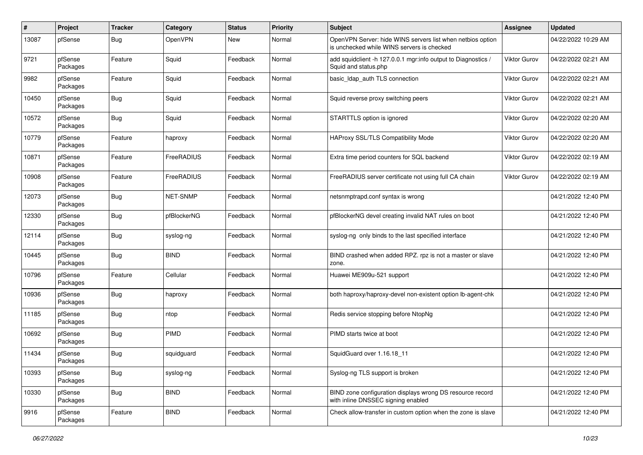| #     | Project             | <b>Tracker</b> | Category        | <b>Status</b> | <b>Priority</b> | <b>Subject</b>                                                                                           | <b>Assignee</b>     | <b>Updated</b>      |
|-------|---------------------|----------------|-----------------|---------------|-----------------|----------------------------------------------------------------------------------------------------------|---------------------|---------------------|
| 13087 | pfSense             | <b>Bug</b>     | OpenVPN         | New           | Normal          | OpenVPN Server: hide WINS servers list when netbios option<br>is unchecked while WINS servers is checked |                     | 04/22/2022 10:29 AM |
| 9721  | pfSense<br>Packages | Feature        | Squid           | Feedback      | Normal          | add squidclient -h 127.0.0.1 mgr:info output to Diagnostics /<br>Squid and status.php                    | Viktor Gurov        | 04/22/2022 02:21 AM |
| 9982  | pfSense<br>Packages | Feature        | Squid           | Feedback      | Normal          | basic_Idap_auth TLS connection                                                                           | <b>Viktor Gurov</b> | 04/22/2022 02:21 AM |
| 10450 | pfSense<br>Packages | <b>Bug</b>     | Squid           | Feedback      | Normal          | Squid reverse proxy switching peers                                                                      | Viktor Gurov        | 04/22/2022 02:21 AM |
| 10572 | pfSense<br>Packages | <b>Bug</b>     | Squid           | Feedback      | Normal          | STARTTLS option is ignored                                                                               | <b>Viktor Gurov</b> | 04/22/2022 02:20 AM |
| 10779 | pfSense<br>Packages | Feature        | haproxy         | Feedback      | Normal          | HAProxy SSL/TLS Compatibility Mode                                                                       | <b>Viktor Gurov</b> | 04/22/2022 02:20 AM |
| 10871 | pfSense<br>Packages | Feature        | FreeRADIUS      | Feedback      | Normal          | Extra time period counters for SQL backend                                                               | Viktor Gurov        | 04/22/2022 02:19 AM |
| 10908 | pfSense<br>Packages | Feature        | FreeRADIUS      | Feedback      | Normal          | FreeRADIUS server certificate not using full CA chain                                                    | <b>Viktor Gurov</b> | 04/22/2022 02:19 AM |
| 12073 | pfSense<br>Packages | <b>Bug</b>     | <b>NET-SNMP</b> | Feedback      | Normal          | netsnmptrapd.conf syntax is wrong                                                                        |                     | 04/21/2022 12:40 PM |
| 12330 | pfSense<br>Packages | <b>Bug</b>     | pfBlockerNG     | Feedback      | Normal          | pfBlockerNG devel creating invalid NAT rules on boot                                                     |                     | 04/21/2022 12:40 PM |
| 12114 | pfSense<br>Packages | <b>Bug</b>     | syslog-ng       | Feedback      | Normal          | syslog-ng only binds to the last specified interface                                                     |                     | 04/21/2022 12:40 PM |
| 10445 | pfSense<br>Packages | <b>Bug</b>     | <b>BIND</b>     | Feedback      | Normal          | BIND crashed when added RPZ. rpz is not a master or slave<br>zone.                                       |                     | 04/21/2022 12:40 PM |
| 10796 | pfSense<br>Packages | Feature        | Cellular        | Feedback      | Normal          | Huawei ME909u-521 support                                                                                |                     | 04/21/2022 12:40 PM |
| 10936 | pfSense<br>Packages | <b>Bug</b>     | haproxy         | Feedback      | Normal          | both haproxy/haproxy-devel non-existent option lb-agent-chk                                              |                     | 04/21/2022 12:40 PM |
| 11185 | pfSense<br>Packages | <b>Bug</b>     | ntop            | Feedback      | Normal          | Redis service stopping before NtopNg                                                                     |                     | 04/21/2022 12:40 PM |
| 10692 | pfSense<br>Packages | <b>Bug</b>     | <b>PIMD</b>     | Feedback      | Normal          | PIMD starts twice at boot                                                                                |                     | 04/21/2022 12:40 PM |
| 11434 | pfSense<br>Packages | <b>Bug</b>     | squidguard      | Feedback      | Normal          | SquidGuard over 1.16.18 11                                                                               |                     | 04/21/2022 12:40 PM |
| 10393 | pfSense<br>Packages | <b>Bug</b>     | syslog-ng       | Feedback      | Normal          | Syslog-ng TLS support is broken                                                                          |                     | 04/21/2022 12:40 PM |
| 10330 | pfSense<br>Packages | <b>Bug</b>     | <b>BIND</b>     | Feedback      | Normal          | BIND zone configuration displays wrong DS resource record<br>with inline DNSSEC signing enabled          |                     | 04/21/2022 12:40 PM |
| 9916  | pfSense<br>Packages | Feature        | <b>BIND</b>     | Feedback      | Normal          | Check allow-transfer in custom option when the zone is slave                                             |                     | 04/21/2022 12:40 PM |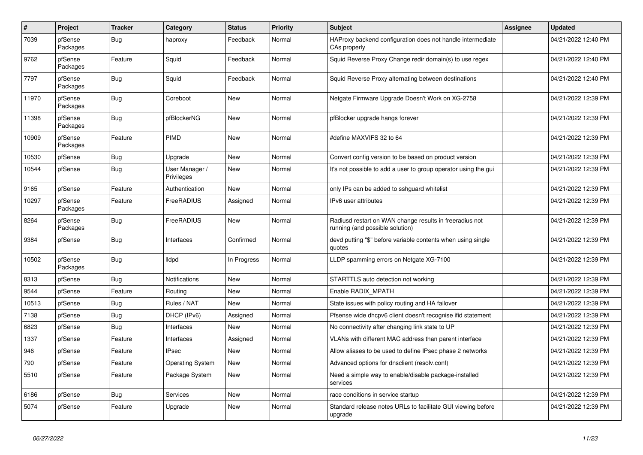| $\vert$ # | Project             | <b>Tracker</b> | Category                     | <b>Status</b> | <b>Priority</b> | <b>Subject</b>                                                                             | Assignee | <b>Updated</b>      |
|-----------|---------------------|----------------|------------------------------|---------------|-----------------|--------------------------------------------------------------------------------------------|----------|---------------------|
| 7039      | pfSense<br>Packages | Bug            | haproxy                      | Feedback      | Normal          | HAProxy backend configuration does not handle intermediate<br>CAs properly                 |          | 04/21/2022 12:40 PM |
| 9762      | pfSense<br>Packages | Feature        | Squid                        | Feedback      | Normal          | Squid Reverse Proxy Change redir domain(s) to use regex                                    |          | 04/21/2022 12:40 PM |
| 7797      | pfSense<br>Packages | Bug            | Squid                        | Feedback      | Normal          | Squid Reverse Proxy alternating between destinations                                       |          | 04/21/2022 12:40 PM |
| 11970     | pfSense<br>Packages | <b>Bug</b>     | Coreboot                     | New           | Normal          | Netgate Firmware Upgrade Doesn't Work on XG-2758                                           |          | 04/21/2022 12:39 PM |
| 11398     | pfSense<br>Packages | Bug            | pfBlockerNG                  | New           | Normal          | pfBlocker upgrade hangs forever                                                            |          | 04/21/2022 12:39 PM |
| 10909     | pfSense<br>Packages | Feature        | PIMD                         | <b>New</b>    | Normal          | #define MAXVIFS 32 to 64                                                                   |          | 04/21/2022 12:39 PM |
| 10530     | pfSense             | Bug            | Upgrade                      | <b>New</b>    | Normal          | Convert config version to be based on product version                                      |          | 04/21/2022 12:39 PM |
| 10544     | pfSense             | <b>Bug</b>     | User Manager /<br>Privileges | New           | Normal          | It's not possible to add a user to group operator using the gui                            |          | 04/21/2022 12:39 PM |
| 9165      | pfSense             | Feature        | Authentication               | New           | Normal          | only IPs can be added to sshguard whitelist                                                |          | 04/21/2022 12:39 PM |
| 10297     | pfSense<br>Packages | Feature        | FreeRADIUS                   | Assigned      | Normal          | IPv6 user attributes                                                                       |          | 04/21/2022 12:39 PM |
| 8264      | pfSense<br>Packages | <b>Bug</b>     | FreeRADIUS                   | <b>New</b>    | Normal          | Radiusd restart on WAN change results in freeradius not<br>running (and possible solution) |          | 04/21/2022 12:39 PM |
| 9384      | pfSense             | Bug            | Interfaces                   | Confirmed     | Normal          | devd putting "\$" before variable contents when using single<br>quotes                     |          | 04/21/2022 12:39 PM |
| 10502     | pfSense<br>Packages | Bug            | <b>Ildpd</b>                 | In Progress   | Normal          | LLDP spamming errors on Netgate XG-7100                                                    |          | 04/21/2022 12:39 PM |
| 8313      | pfSense             | Bug            | <b>Notifications</b>         | New           | Normal          | STARTTLS auto detection not working                                                        |          | 04/21/2022 12:39 PM |
| 9544      | pfSense             | Feature        | Routing                      | New           | Normal          | Enable RADIX MPATH                                                                         |          | 04/21/2022 12:39 PM |
| 10513     | pfSense             | <b>Bug</b>     | Rules / NAT                  | New           | Normal          | State issues with policy routing and HA failover                                           |          | 04/21/2022 12:39 PM |
| 7138      | pfSense             | <b>Bug</b>     | DHCP (IPv6)                  | Assigned      | Normal          | Pfsense wide dhcpv6 client doesn't recognise ifid statement                                |          | 04/21/2022 12:39 PM |
| 6823      | pfSense             | <b>Bug</b>     | Interfaces                   | <b>New</b>    | Normal          | No connectivity after changing link state to UP                                            |          | 04/21/2022 12:39 PM |
| 1337      | pfSense             | Feature        | Interfaces                   | Assigned      | Normal          | VLANs with different MAC address than parent interface                                     |          | 04/21/2022 12:39 PM |
| 946       | pfSense             | Feature        | <b>IPsec</b>                 | <b>New</b>    | Normal          | Allow aliases to be used to define IPsec phase 2 networks                                  |          | 04/21/2022 12:39 PM |
| 790       | pfSense             | Feature        | <b>Operating System</b>      | New           | Normal          | Advanced options for dnsclient (resolv.conf)                                               |          | 04/21/2022 12:39 PM |
| 5510      | pfSense             | Feature        | Package System               | New           | Normal          | Need a simple way to enable/disable package-installed<br>services                          |          | 04/21/2022 12:39 PM |
| 6186      | pfSense             | Bug            | Services                     | New           | Normal          | race conditions in service startup                                                         |          | 04/21/2022 12:39 PM |
| 5074      | pfSense             | Feature        | Upgrade                      | New           | Normal          | Standard release notes URLs to facilitate GUI viewing before<br>upgrade                    |          | 04/21/2022 12:39 PM |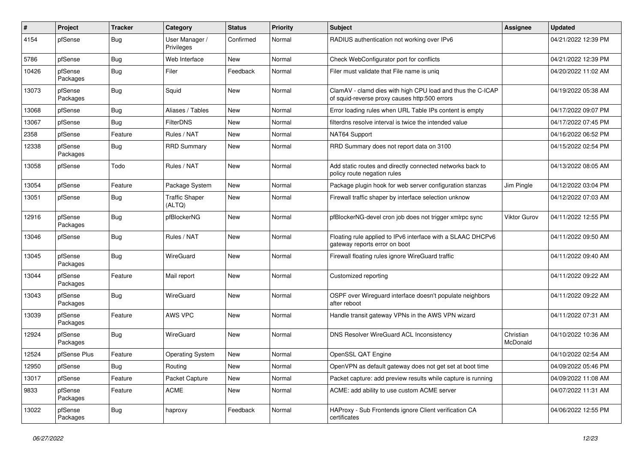| ∦     | Project             | <b>Tracker</b> | Category                        | <b>Status</b> | <b>Priority</b> | Subject                                                                                                     | <b>Assignee</b>       | <b>Updated</b>      |
|-------|---------------------|----------------|---------------------------------|---------------|-----------------|-------------------------------------------------------------------------------------------------------------|-----------------------|---------------------|
| 4154  | pfSense             | <b>Bug</b>     | User Manager /<br>Privileges    | Confirmed     | Normal          | RADIUS authentication not working over IPv6                                                                 |                       | 04/21/2022 12:39 PM |
| 5786  | pfSense             | Bug            | Web Interface                   | New           | Normal          | Check WebConfigurator port for conflicts                                                                    |                       | 04/21/2022 12:39 PM |
| 10426 | pfSense<br>Packages | <b>Bug</b>     | Filer                           | Feedback      | Normal          | Filer must validate that File name is uniq                                                                  |                       | 04/20/2022 11:02 AM |
| 13073 | pfSense<br>Packages | Bug            | Squid                           | New           | Normal          | ClamAV - clamd dies with high CPU load and thus the C-ICAP<br>of squid-reverse proxy causes http:500 errors |                       | 04/19/2022 05:38 AM |
| 13068 | pfSense             | Bug            | Aliases / Tables                | New           | Normal          | Error loading rules when URL Table IPs content is empty                                                     |                       | 04/17/2022 09:07 PM |
| 13067 | pfSense             | Bug            | <b>FilterDNS</b>                | New           | Normal          | filterdns resolve interval is twice the intended value                                                      |                       | 04/17/2022 07:45 PM |
| 2358  | pfSense             | Feature        | Rules / NAT                     | New           | Normal          | NAT64 Support                                                                                               |                       | 04/16/2022 06:52 PM |
| 12338 | pfSense<br>Packages | <b>Bug</b>     | <b>RRD Summary</b>              | New           | Normal          | RRD Summary does not report data on 3100                                                                    |                       | 04/15/2022 02:54 PM |
| 13058 | pfSense             | Todo           | Rules / NAT                     | New           | Normal          | Add static routes and directly connected networks back to<br>policy route negation rules                    |                       | 04/13/2022 08:05 AM |
| 13054 | pfSense             | Feature        | Package System                  | New           | Normal          | Package plugin hook for web server configuration stanzas                                                    | Jim Pingle            | 04/12/2022 03:04 PM |
| 13051 | pfSense             | Bug            | <b>Traffic Shaper</b><br>(ALTQ) | New           | Normal          | Firewall traffic shaper by interface selection unknow                                                       |                       | 04/12/2022 07:03 AM |
| 12916 | pfSense<br>Packages | <b>Bug</b>     | pfBlockerNG                     | New           | Normal          | pfBlockerNG-devel cron job does not trigger xmlrpc sync                                                     | Viktor Gurov          | 04/11/2022 12:55 PM |
| 13046 | pfSense             | <b>Bug</b>     | Rules / NAT                     | New           | Normal          | Floating rule applied to IPv6 interface with a SLAAC DHCPv6<br>gateway reports error on boot                |                       | 04/11/2022 09:50 AM |
| 13045 | pfSense<br>Packages | Bug            | WireGuard                       | New           | Normal          | Firewall floating rules ignore WireGuard traffic                                                            |                       | 04/11/2022 09:40 AM |
| 13044 | pfSense<br>Packages | Feature        | Mail report                     | New           | Normal          | Customized reporting                                                                                        |                       | 04/11/2022 09:22 AM |
| 13043 | pfSense<br>Packages | <b>Bug</b>     | WireGuard                       | New           | Normal          | OSPF over Wireguard interface doesn't populate neighbors<br>after reboot                                    |                       | 04/11/2022 09:22 AM |
| 13039 | pfSense<br>Packages | Feature        | AWS VPC                         | New           | Normal          | Handle transit gateway VPNs in the AWS VPN wizard                                                           |                       | 04/11/2022 07:31 AM |
| 12924 | pfSense<br>Packages | Bug            | WireGuard                       | New           | Normal          | DNS Resolver WireGuard ACL Inconsistency                                                                    | Christian<br>McDonald | 04/10/2022 10:36 AM |
| 12524 | pfSense Plus        | Feature        | <b>Operating System</b>         | <b>New</b>    | Normal          | OpenSSL QAT Engine                                                                                          |                       | 04/10/2022 02:54 AM |
| 12950 | pfSense             | Bug            | Routing                         | New           | Normal          | OpenVPN as default gateway does not get set at boot time                                                    |                       | 04/09/2022 05:46 PM |
| 13017 | pfSense             | Feature        | Packet Capture                  | New           | Normal          | Packet capture: add preview results while capture is running                                                |                       | 04/09/2022 11:08 AM |
| 9833  | pfSense<br>Packages | Feature        | ACME                            | New           | Normal          | ACME: add ability to use custom ACME server                                                                 |                       | 04/07/2022 11:31 AM |
| 13022 | pfSense<br>Packages | <b>Bug</b>     | haproxy                         | Feedback      | Normal          | HAProxy - Sub Frontends ignore Client verification CA<br>certificates                                       |                       | 04/06/2022 12:55 PM |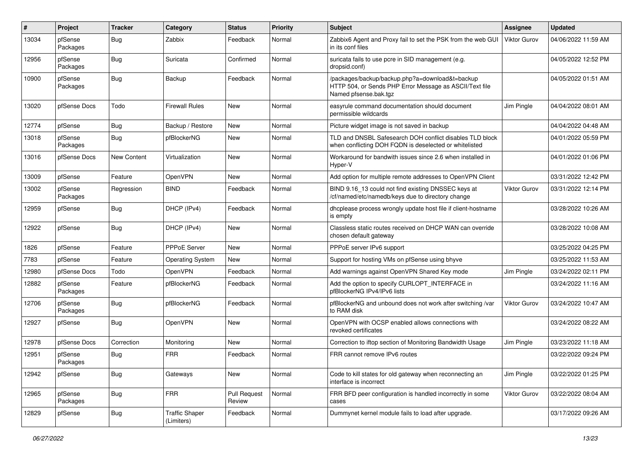| #     | Project             | <b>Tracker</b> | Category                            | <b>Status</b>                 | <b>Priority</b> | <b>Subject</b>                                                                                                                      | Assignee            | <b>Updated</b>      |
|-------|---------------------|----------------|-------------------------------------|-------------------------------|-----------------|-------------------------------------------------------------------------------------------------------------------------------------|---------------------|---------------------|
| 13034 | pfSense<br>Packages | <b>Bug</b>     | Zabbix                              | Feedback                      | Normal          | Zabbix6 Agent and Proxy fail to set the PSK from the web GUI<br>in its conf files                                                   | Viktor Gurov        | 04/06/2022 11:59 AM |
| 12956 | pfSense<br>Packages | <b>Bug</b>     | Suricata                            | Confirmed                     | Normal          | suricata fails to use pcre in SID management (e.g.<br>dropsid.conf)                                                                 |                     | 04/05/2022 12:52 PM |
| 10900 | pfSense<br>Packages | Bug            | Backup                              | Feedback                      | Normal          | /packages/backup/backup.php?a=download&t=backup<br>HTTP 504, or Sends PHP Error Message as ASCII/Text file<br>Named pfsense.bak.tgz |                     | 04/05/2022 01:51 AM |
| 13020 | pfSense Docs        | Todo           | <b>Firewall Rules</b>               | <b>New</b>                    | Normal          | easyrule command documentation should document<br>permissible wildcards                                                             | Jim Pingle          | 04/04/2022 08:01 AM |
| 12774 | pfSense             | <b>Bug</b>     | Backup / Restore                    | New                           | Normal          | Picture widget image is not saved in backup                                                                                         |                     | 04/04/2022 04:48 AM |
| 13018 | pfSense<br>Packages | Bug            | pfBlockerNG                         | New                           | Normal          | TLD and DNSBL Safesearch DOH conflict disables TLD block<br>when conflicting DOH FQDN is deselected or whitelisted                  |                     | 04/01/2022 05:59 PM |
| 13016 | pfSense Docs        | New Content    | Virtualization                      | New                           | Normal          | Workaround for bandwith issues since 2.6 when installed in<br>Hyper-V                                                               |                     | 04/01/2022 01:06 PM |
| 13009 | pfSense             | Feature        | <b>OpenVPN</b>                      | New                           | Normal          | Add option for multiple remote addresses to OpenVPN Client                                                                          |                     | 03/31/2022 12:42 PM |
| 13002 | pfSense<br>Packages | Regression     | <b>BIND</b>                         | Feedback                      | Normal          | BIND 9.16_13 could not find existing DNSSEC keys at<br>/cf/named/etc/namedb/keys due to directory change                            | <b>Viktor Gurov</b> | 03/31/2022 12:14 PM |
| 12959 | pfSense             | <b>Bug</b>     | DHCP (IPv4)                         | Feedback                      | Normal          | dhcplease process wrongly update host file if client-hostname<br>is empty                                                           |                     | 03/28/2022 10:26 AM |
| 12922 | pfSense             | <b>Bug</b>     | DHCP (IPv4)                         | New                           | Normal          | Classless static routes received on DHCP WAN can override<br>chosen default gateway                                                 |                     | 03/28/2022 10:08 AM |
| 1826  | pfSense             | Feature        | PPPoE Server                        | New                           | Normal          | PPPoE server IPv6 support                                                                                                           |                     | 03/25/2022 04:25 PM |
| 7783  | pfSense             | Feature        | Operating System                    | New                           | Normal          | Support for hosting VMs on pfSense using bhyve                                                                                      |                     | 03/25/2022 11:53 AM |
| 12980 | pfSense Docs        | Todo           | OpenVPN                             | Feedback                      | Normal          | Add warnings against OpenVPN Shared Key mode                                                                                        | Jim Pingle          | 03/24/2022 02:11 PM |
| 12882 | pfSense<br>Packages | Feature        | pfBlockerNG                         | Feedback                      | Normal          | Add the option to specify CURLOPT_INTERFACE in<br>pfBlockerNG IPv4/IPv6 lists                                                       |                     | 03/24/2022 11:16 AM |
| 12706 | pfSense<br>Packages | <b>Bug</b>     | pfBlockerNG                         | Feedback                      | Normal          | pfBlockerNG and unbound does not work after switching /var<br>to RAM disk                                                           | <b>Viktor Gurov</b> | 03/24/2022 10:47 AM |
| 12927 | pfSense             | <b>Bug</b>     | OpenVPN                             | New                           | Normal          | OpenVPN with OCSP enabled allows connections with<br>revoked certificates                                                           |                     | 03/24/2022 08:22 AM |
| 12978 | pfSense Docs        | Correction     | Monitoring                          | New                           | Normal          | Correction to iftop section of Monitoring Bandwidth Usage                                                                           | Jim Pingle          | 03/23/2022 11:18 AM |
| 12951 | pfSense<br>Packages | Bug            | <b>FRR</b>                          | Feedback                      | Normal          | FRR cannot remove IPv6 routes                                                                                                       |                     | 03/22/2022 09:24 PM |
| 12942 | pfSense             | Bug            | Gateways                            | New                           | Normal          | Code to kill states for old gateway when reconnecting an<br>interface is incorrect                                                  | Jim Pingle          | 03/22/2022 01:25 PM |
| 12965 | pfSense<br>Packages | Bug            | <b>FRR</b>                          | <b>Pull Request</b><br>Review | Normal          | FRR BFD peer configuration is handled incorrectly in some<br>cases                                                                  | Viktor Gurov        | 03/22/2022 08:04 AM |
| 12829 | pfSense             | <b>Bug</b>     | <b>Traffic Shaper</b><br>(Limiters) | Feedback                      | Normal          | Dummynet kernel module fails to load after upgrade.                                                                                 |                     | 03/17/2022 09:26 AM |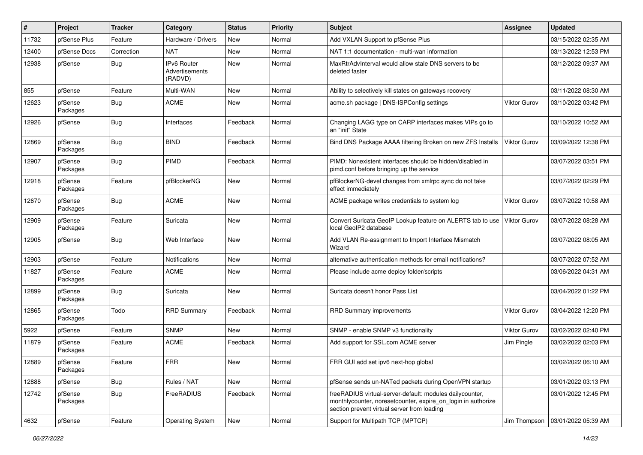| #     | Project             | <b>Tracker</b> | Category                                 | <b>Status</b> | <b>Priority</b> | Subject                                                                                                                                                                 | <b>Assignee</b>     | <b>Updated</b>      |
|-------|---------------------|----------------|------------------------------------------|---------------|-----------------|-------------------------------------------------------------------------------------------------------------------------------------------------------------------------|---------------------|---------------------|
| 11732 | pfSense Plus        | Feature        | Hardware / Drivers                       | New           | Normal          | Add VXLAN Support to pfSense Plus                                                                                                                                       |                     | 03/15/2022 02:35 AM |
| 12400 | pfSense Docs        | Correction     | <b>NAT</b>                               | New           | Normal          | NAT 1:1 documentation - multi-wan information                                                                                                                           |                     | 03/13/2022 12:53 PM |
| 12938 | pfSense             | Bug            | IPv6 Router<br>Advertisements<br>(RADVD) | New           | Normal          | MaxRtrAdvInterval would allow stale DNS servers to be<br>deleted faster                                                                                                 |                     | 03/12/2022 09:37 AM |
| 855   | pfSense             | Feature        | Multi-WAN                                | New           | Normal          | Ability to selectively kill states on gateways recovery                                                                                                                 |                     | 03/11/2022 08:30 AM |
| 12623 | pfSense<br>Packages | <b>Bug</b>     | <b>ACME</b>                              | New           | Normal          | acme.sh package   DNS-ISPConfig settings                                                                                                                                | Viktor Gurov        | 03/10/2022 03:42 PM |
| 12926 | pfSense             | <b>Bug</b>     | Interfaces                               | Feedback      | Normal          | Changing LAGG type on CARP interfaces makes VIPs go to<br>an "init" State                                                                                               |                     | 03/10/2022 10:52 AM |
| 12869 | pfSense<br>Packages | Bug            | <b>BIND</b>                              | Feedback      | Normal          | Bind DNS Package AAAA filtering Broken on new ZFS Installs                                                                                                              | <b>Viktor Gurov</b> | 03/09/2022 12:38 PM |
| 12907 | pfSense<br>Packages | <b>Bug</b>     | <b>PIMD</b>                              | Feedback      | Normal          | PIMD: Nonexistent interfaces should be hidden/disabled in<br>pimd.conf before bringing up the service                                                                   |                     | 03/07/2022 03:51 PM |
| 12918 | pfSense<br>Packages | Feature        | pfBlockerNG                              | New           | Normal          | pfBlockerNG-devel changes from xmlrpc sync do not take<br>effect immediately                                                                                            |                     | 03/07/2022 02:29 PM |
| 12670 | pfSense<br>Packages | Bug            | <b>ACME</b>                              | New           | Normal          | ACME package writes credentials to system log                                                                                                                           | Viktor Gurov        | 03/07/2022 10:58 AM |
| 12909 | pfSense<br>Packages | Feature        | Suricata                                 | New           | Normal          | Convert Suricata GeoIP Lookup feature on ALERTS tab to use<br>local GeoIP2 database                                                                                     | <b>Viktor Gurov</b> | 03/07/2022 08:28 AM |
| 12905 | pfSense             | Bug            | Web Interface                            | New           | Normal          | Add VLAN Re-assignment to Import Interface Mismatch<br>Wizard                                                                                                           |                     | 03/07/2022 08:05 AM |
| 12903 | pfSense             | Feature        | Notifications                            | New           | Normal          | alternative authentication methods for email notifications?                                                                                                             |                     | 03/07/2022 07:52 AM |
| 11827 | pfSense<br>Packages | Feature        | ACME                                     | New           | Normal          | Please include acme deploy folder/scripts                                                                                                                               |                     | 03/06/2022 04:31 AM |
| 12899 | pfSense<br>Packages | Bug            | Suricata                                 | New           | Normal          | Suricata doesn't honor Pass List                                                                                                                                        |                     | 03/04/2022 01:22 PM |
| 12865 | pfSense<br>Packages | Todo           | <b>RRD Summary</b>                       | Feedback      | Normal          | <b>RRD Summary improvements</b>                                                                                                                                         | Viktor Gurov        | 03/04/2022 12:20 PM |
| 5922  | pfSense             | Feature        | <b>SNMP</b>                              | New           | Normal          | SNMP - enable SNMP v3 functionality                                                                                                                                     | <b>Viktor Gurov</b> | 03/02/2022 02:40 PM |
| 11879 | pfSense<br>Packages | Feature        | <b>ACME</b>                              | Feedback      | Normal          | Add support for SSL.com ACME server                                                                                                                                     | Jim Pingle          | 03/02/2022 02:03 PM |
| 12889 | pfSense<br>Packages | Feature        | <b>FRR</b>                               | New           | Normal          | FRR GUI add set ipv6 next-hop global                                                                                                                                    |                     | 03/02/2022 06:10 AM |
| 12888 | pfSense             | Bug            | Rules / NAT                              | New           | Normal          | pfSense sends un-NATed packets during OpenVPN startup                                                                                                                   |                     | 03/01/2022 03:13 PM |
| 12742 | pfSense<br>Packages | Bug            | FreeRADIUS                               | Feedback      | Normal          | freeRADIUS virtual-server-default: modules dailycounter,<br>monthlycounter, noresetcounter, expire on login in authorize<br>section prevent virtual server from loading |                     | 03/01/2022 12:45 PM |
| 4632  | pfSense             | Feature        | <b>Operating System</b>                  | New           | Normal          | Support for Multipath TCP (MPTCP)                                                                                                                                       | Jim Thompson        | 03/01/2022 05:39 AM |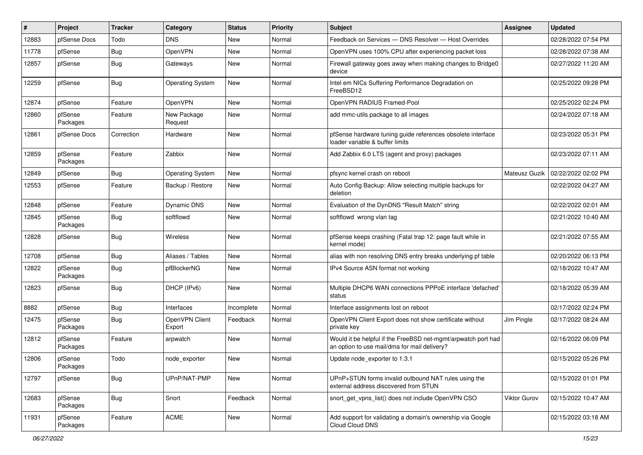| #     | Project             | <b>Tracker</b> | Category                 | <b>Status</b> | <b>Priority</b> | Subject                                                                                                       | <b>Assignee</b> | <b>Updated</b>      |
|-------|---------------------|----------------|--------------------------|---------------|-----------------|---------------------------------------------------------------------------------------------------------------|-----------------|---------------------|
| 12883 | pfSense Docs        | Todo           | <b>DNS</b>               | New           | Normal          | Feedback on Services - DNS Resolver - Host Overrides                                                          |                 | 02/28/2022 07:54 PM |
| 11778 | pfSense             | Bug            | OpenVPN                  | New           | Normal          | OpenVPN uses 100% CPU after experiencing packet loss                                                          |                 | 02/28/2022 07:38 AM |
| 12857 | pfSense             | <b>Bug</b>     | Gateways                 | New           | Normal          | Firewall gateway goes away when making changes to Bridge0<br>device                                           |                 | 02/27/2022 11:20 AM |
| 12259 | pfSense             | Bug            | Operating System         | New           | Normal          | Intel em NICs Suffering Performance Degradation on<br>FreeBSD12                                               |                 | 02/25/2022 09:28 PM |
| 12874 | pfSense             | Feature        | <b>OpenVPN</b>           | New           | Normal          | OpenVPN RADIUS Framed-Pool                                                                                    |                 | 02/25/2022 02:24 PM |
| 12860 | pfSense<br>Packages | Feature        | New Package<br>Request   | New           | Normal          | add mmc-utils package to all images                                                                           |                 | 02/24/2022 07:18 AM |
| 12861 | pfSense Docs        | Correction     | Hardware                 | New           | Normal          | pfSense hardware tuning guide references obsolete interface<br>loader variable & buffer limits                |                 | 02/23/2022 05:31 PM |
| 12859 | pfSense<br>Packages | Feature        | Zabbix                   | New           | Normal          | Add Zabbix 6.0 LTS (agent and proxy) packages                                                                 |                 | 02/23/2022 07:11 AM |
| 12849 | pfSense             | Bug            | <b>Operating System</b>  | New           | Normal          | pfsync kernel crash on reboot                                                                                 | Mateusz Guzik   | 02/22/2022 02:02 PM |
| 12553 | pfSense             | Feature        | Backup / Restore         | New           | Normal          | Auto Config Backup: Allow selecting multiple backups for<br>deletion                                          |                 | 02/22/2022 04:27 AM |
| 12848 | pfSense             | Feature        | Dynamic DNS              | New           | Normal          | Evaluation of the DynDNS "Result Match" string                                                                |                 | 02/22/2022 02:01 AM |
| 12845 | pfSense<br>Packages | <b>Bug</b>     | softflowd                | New           | Normal          | softflowd wrong vlan tag                                                                                      |                 | 02/21/2022 10:40 AM |
| 12828 | pfSense             | <b>Bug</b>     | Wireless                 | New           | Normal          | pfSense keeps crashing (Fatal trap 12: page fault while in<br>kernel mode)                                    |                 | 02/21/2022 07:55 AM |
| 12708 | pfSense             | Bug            | Aliases / Tables         | New           | Normal          | alias with non resolving DNS entry breaks underlying pf table                                                 |                 | 02/20/2022 06:13 PM |
| 12822 | pfSense<br>Packages | <b>Bug</b>     | pfBlockerNG              | New           | Normal          | IPv4 Source ASN format not working                                                                            |                 | 02/18/2022 10:47 AM |
| 12823 | pfSense             | <b>Bug</b>     | DHCP (IPv6)              | New           | Normal          | Multiple DHCP6 WAN connections PPPoE interface 'defached'<br>status                                           |                 | 02/18/2022 05:39 AM |
| 8882  | pfSense             | Bug            | Interfaces               | Incomplete    | Normal          | Interface assignments lost on reboot                                                                          |                 | 02/17/2022 02:24 PM |
| 12475 | pfSense<br>Packages | <b>Bug</b>     | OpenVPN Client<br>Export | Feedback      | Normal          | OpenVPN Client Export does not show certificate without<br>private key                                        | Jim Pingle      | 02/17/2022 08:24 AM |
| 12812 | pfSense<br>Packages | Feature        | arpwatch                 | New           | Normal          | Would it be helpful if the FreeBSD net-mgmt/arpwatch port had<br>an option to use mail/dma for mail delivery? |                 | 02/16/2022 06:09 PM |
| 12806 | pfSense<br>Packages | Todo           | node exporter            | New           | Normal          | Update node exporter to 1.3.1                                                                                 |                 | 02/15/2022 05:26 PM |
| 12797 | pfSense             | <b>Bug</b>     | UPnP/NAT-PMP             | New           | Normal          | UPnP+STUN forms invalid outbound NAT rules using the<br>external address discovered from STUN                 |                 | 02/15/2022 01:01 PM |
| 12683 | pfSense<br>Packages | Bug            | Snort                    | Feedback      | Normal          | snort_get_vpns_list() does not include OpenVPN CSO                                                            | Viktor Gurov    | 02/15/2022 10:47 AM |
| 11931 | pfSense<br>Packages | Feature        | <b>ACME</b>              | New           | Normal          | Add support for validating a domain's ownership via Google<br>Cloud Cloud DNS                                 |                 | 02/15/2022 03:18 AM |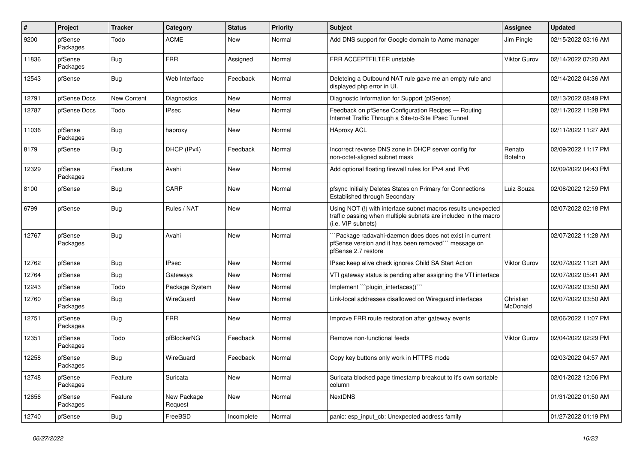| $\pmb{\#}$ | Project             | <b>Tracker</b> | Category               | <b>Status</b> | <b>Priority</b> | <b>Subject</b>                                                                                                                                         | <b>Assignee</b>          | <b>Updated</b>      |
|------------|---------------------|----------------|------------------------|---------------|-----------------|--------------------------------------------------------------------------------------------------------------------------------------------------------|--------------------------|---------------------|
| 9200       | pfSense<br>Packages | Todo           | ACME                   | New           | Normal          | Add DNS support for Google domain to Acme manager                                                                                                      | Jim Pingle               | 02/15/2022 03:16 AM |
| 11836      | pfSense<br>Packages | <b>Bug</b>     | <b>FRR</b>             | Assigned      | Normal          | FRR ACCEPTFILTER unstable                                                                                                                              | Viktor Gurov             | 02/14/2022 07:20 AM |
| 12543      | pfSense             | <b>Bug</b>     | Web Interface          | Feedback      | Normal          | Deleteing a Outbound NAT rule gave me an empty rule and<br>displayed php error in UI.                                                                  |                          | 02/14/2022 04:36 AM |
| 12791      | pfSense Docs        | New Content    | Diagnostics            | New           | Normal          | Diagnostic Information for Support (pfSense)                                                                                                           |                          | 02/13/2022 08:49 PM |
| 12787      | pfSense Docs        | Todo           | <b>IPsec</b>           | New           | Normal          | Feedback on pfSense Configuration Recipes - Routing<br>Internet Traffic Through a Site-to-Site IPsec Tunnel                                            |                          | 02/11/2022 11:28 PM |
| 11036      | pfSense<br>Packages | <b>Bug</b>     | haproxy                | New           | Normal          | <b>HAproxy ACL</b>                                                                                                                                     |                          | 02/11/2022 11:27 AM |
| 8179       | pfSense             | <b>Bug</b>     | DHCP (IPv4)            | Feedback      | Normal          | Incorrect reverse DNS zone in DHCP server config for<br>non-octet-aligned subnet mask                                                                  | Renato<br><b>Botelho</b> | 02/09/2022 11:17 PM |
| 12329      | pfSense<br>Packages | Feature        | Avahi                  | New           | Normal          | Add optional floating firewall rules for IPv4 and IPv6                                                                                                 |                          | 02/09/2022 04:43 PM |
| 8100       | pfSense             | <b>Bug</b>     | CARP                   | New           | Normal          | pfsync Initially Deletes States on Primary for Connections<br>Established through Secondary                                                            | Luiz Souza               | 02/08/2022 12:59 PM |
| 6799       | pfSense             | <b>Bug</b>     | Rules / NAT            | New           | Normal          | Using NOT (!) with interface subnet macros results unexpected<br>traffic passing when multiple subnets are included in the macro<br>(i.e. VIP subnets) |                          | 02/07/2022 02:18 PM |
| 12767      | pfSense<br>Packages | <b>Bug</b>     | Avahi                  | New           | Normal          | `Package radavahi-daemon does does not exist in current<br>pfSense version and it has been removed" message on<br>pfSense 2.7 restore                  |                          | 02/07/2022 11:28 AM |
| 12762      | pfSense             | <b>Bug</b>     | <b>IPsec</b>           | <b>New</b>    | Normal          | IPsec keep alive check ignores Child SA Start Action                                                                                                   | <b>Viktor Gurov</b>      | 02/07/2022 11:21 AM |
| 12764      | pfSense             | Bug            | Gateways               | New           | Normal          | VTI gateway status is pending after assigning the VTI interface                                                                                        |                          | 02/07/2022 05:41 AM |
| 12243      | pfSense             | Todo           | Package System         | New           | Normal          | Implement "``plugin_interfaces()```                                                                                                                    |                          | 02/07/2022 03:50 AM |
| 12760      | pfSense<br>Packages | <b>Bug</b>     | WireGuard              | New           | Normal          | Link-local addresses disallowed on Wireguard interfaces                                                                                                | Christian<br>McDonald    | 02/07/2022 03:50 AM |
| 12751      | pfSense<br>Packages | <b>Bug</b>     | <b>FRR</b>             | New           | Normal          | Improve FRR route restoration after gateway events                                                                                                     |                          | 02/06/2022 11:07 PM |
| 12351      | pfSense<br>Packages | Todo           | pfBlockerNG            | Feedback      | Normal          | Remove non-functional feeds                                                                                                                            | Viktor Gurov             | 02/04/2022 02:29 PM |
| 12258      | pfSense<br>Packages | Bug            | WireGuard              | Feedback      | Normal          | Copy key buttons only work in HTTPS mode                                                                                                               |                          | 02/03/2022 04:57 AM |
| 12748      | pfSense<br>Packages | Feature        | Suricata               | New           | Normal          | Suricata blocked page timestamp breakout to it's own sortable<br>column                                                                                |                          | 02/01/2022 12:06 PM |
| 12656      | pfSense<br>Packages | Feature        | New Package<br>Request | New           | Normal          | <b>NextDNS</b>                                                                                                                                         |                          | 01/31/2022 01:50 AM |
| 12740      | pfSense             | <b>Bug</b>     | FreeBSD                | Incomplete    | Normal          | panic: esp_input_cb: Unexpected address family                                                                                                         |                          | 01/27/2022 01:19 PM |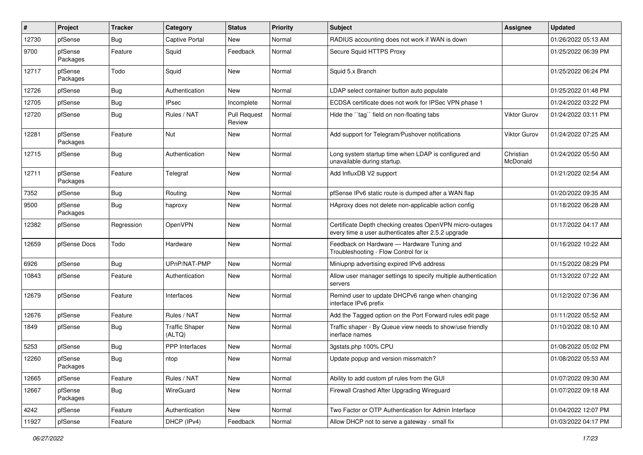| #     | Project             | <b>Tracker</b> | Category                        | <b>Status</b>                 | <b>Priority</b> | Subject                                                                                                         | <b>Assignee</b>       | <b>Updated</b>      |
|-------|---------------------|----------------|---------------------------------|-------------------------------|-----------------|-----------------------------------------------------------------------------------------------------------------|-----------------------|---------------------|
| 12730 | pfSense             | Bug            | Captive Portal                  | New                           | Normal          | RADIUS accounting does not work if WAN is down                                                                  |                       | 01/26/2022 05:13 AM |
| 9700  | pfSense<br>Packages | Feature        | Squid                           | Feedback                      | Normal          | Secure Squid HTTPS Proxy                                                                                        |                       | 01/25/2022 06:39 PM |
| 12717 | pfSense<br>Packages | Todo           | Squid                           | <b>New</b>                    | Normal          | Squid 5.x Branch                                                                                                |                       | 01/25/2022 06:24 PM |
| 12726 | pfSense             | Bug            | Authentication                  | New                           | Normal          | LDAP select container button auto populate                                                                      |                       | 01/25/2022 01:48 PM |
| 12705 | pfSense             | <b>Bug</b>     | IPsec                           | Incomplete                    | Normal          | ECDSA certificate does not work for IPSec VPN phase 1                                                           |                       | 01/24/2022 03:22 PM |
| 12720 | pfSense             | <b>Bug</b>     | Rules / NAT                     | <b>Pull Request</b><br>Review | Normal          | Hide the "tag" field on non-floating tabs                                                                       | Viktor Gurov          | 01/24/2022 03:11 PM |
| 12281 | pfSense<br>Packages | Feature        | Nut                             | New                           | Normal          | Add support for Telegram/Pushover notifications                                                                 | Viktor Gurov          | 01/24/2022 07:25 AM |
| 12715 | pfSense             | <b>Bug</b>     | Authentication                  | New                           | Normal          | Long system startup time when LDAP is configured and<br>unavailable during startup.                             | Christian<br>McDonald | 01/24/2022 05:50 AM |
| 12711 | pfSense<br>Packages | Feature        | Telegraf                        | <b>New</b>                    | Normal          | Add InfluxDB V2 support                                                                                         |                       | 01/21/2022 02:54 AM |
| 7352  | pfSense             | <b>Bug</b>     | Routing                         | New                           | Normal          | pfSense IPv6 static route is dumped after a WAN flap                                                            |                       | 01/20/2022 09:35 AM |
| 9500  | pfSense<br>Packages | Bug            | haproxy                         | New                           | Normal          | HAproxy does not delete non-applicable action config                                                            |                       | 01/18/2022 06:28 AM |
| 12382 | pfSense             | Regression     | OpenVPN                         | New                           | Normal          | Certificate Depth checking creates OpenVPN micro-outages<br>every time a user authenticates after 2.5.2 upgrade |                       | 01/17/2022 04:17 AM |
| 12659 | pfSense Docs        | Todo           | Hardware                        | New                           | Normal          | Feedback on Hardware - Hardware Tuning and<br>Troubleshooting - Flow Control for ix                             |                       | 01/16/2022 10:22 AM |
| 6926  | pfSense             | <b>Bug</b>     | UPnP/NAT-PMP                    | New                           | Normal          | Miniupnp advertising expired IPv6 address                                                                       |                       | 01/15/2022 08:29 PM |
| 10843 | pfSense             | Feature        | Authentication                  | New                           | Normal          | Allow user manager settings to specify multiple authentication<br>servers                                       |                       | 01/13/2022 07:22 AM |
| 12679 | pfSense             | Feature        | Interfaces                      | New                           | Normal          | Remind user to update DHCPv6 range when changing<br>interface IPv6 prefix                                       |                       | 01/12/2022 07:36 AM |
| 12676 | pfSense             | Feature        | Rules / NAT                     | New                           | Normal          | Add the Tagged option on the Port Forward rules edit page                                                       |                       | 01/11/2022 05:52 AM |
| 1849  | pfSense             | <b>Bug</b>     | <b>Traffic Shaper</b><br>(ALTQ) | New                           | Normal          | Traffic shaper - By Queue view needs to show/use friendly<br>inerface names                                     |                       | 01/10/2022 08:10 AM |
| 5253  | pfSense             | Bug            | <b>PPP</b> Interfaces           | New                           | Normal          | 3gstats.php 100% CPU                                                                                            |                       | 01/08/2022 05:02 PM |
| 12260 | pfSense<br>Packages | Bug            | ntop                            | New                           | Normal          | Update popup and version missmatch?                                                                             |                       | 01/08/2022 05:53 AM |
| 12665 | pfSense             | Feature        | Rules / NAT                     | New                           | Normal          | Ability to add custom pf rules from the GUI                                                                     |                       | 01/07/2022 09:30 AM |
| 12667 | pfSense<br>Packages | <b>Bug</b>     | WireGuard                       | New                           | Normal          | Firewall Crashed After Upgrading Wireguard                                                                      |                       | 01/07/2022 09:18 AM |
| 4242  | pfSense             | Feature        | Authentication                  | New                           | Normal          | Two Factor or OTP Authentication for Admin Interface                                                            |                       | 01/04/2022 12:07 PM |
| 11927 | pfSense             | Feature        | DHCP (IPv4)                     | Feedback                      | Normal          | Allow DHCP not to serve a gateway - small fix                                                                   |                       | 01/03/2022 04:17 PM |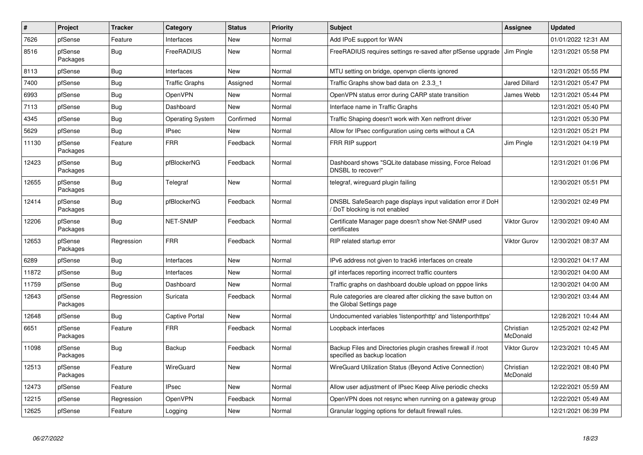| ∦     | Project             | <b>Tracker</b> | Category                | <b>Status</b> | Priority | <b>Subject</b>                                                                                | <b>Assignee</b>       | <b>Updated</b>      |
|-------|---------------------|----------------|-------------------------|---------------|----------|-----------------------------------------------------------------------------------------------|-----------------------|---------------------|
| 7626  | pfSense             | Feature        | Interfaces              | New           | Normal   | Add IPoE support for WAN                                                                      |                       | 01/01/2022 12:31 AM |
| 8516  | pfSense<br>Packages | Bug            | FreeRADIUS              | New           | Normal   | FreeRADIUS requires settings re-saved after pfSense upgrade Jim Pingle                        |                       | 12/31/2021 05:58 PM |
| 8113  | pfSense             | Bug            | Interfaces              | <b>New</b>    | Normal   | MTU setting on bridge, openvpn clients ignored                                                |                       | 12/31/2021 05:55 PM |
| 7400  | pfSense             | <b>Bug</b>     | <b>Traffic Graphs</b>   | Assigned      | Normal   | Traffic Graphs show bad data on 2.3.3 1                                                       | <b>Jared Dillard</b>  | 12/31/2021 05:47 PM |
| 6993  | pfSense             | Bug            | OpenVPN                 | New           | Normal   | OpenVPN status error during CARP state transition                                             | James Webb            | 12/31/2021 05:44 PM |
| 7113  | pfSense             | Bug            | Dashboard               | New           | Normal   | Interface name in Traffic Graphs                                                              |                       | 12/31/2021 05:40 PM |
| 4345  | pfSense             | Bug            | <b>Operating System</b> | Confirmed     | Normal   | Traffic Shaping doesn't work with Xen netfront driver                                         |                       | 12/31/2021 05:30 PM |
| 5629  | pfSense             | <b>Bug</b>     | <b>IPsec</b>            | New           | Normal   | Allow for IPsec configuration using certs without a CA                                        |                       | 12/31/2021 05:21 PM |
| 11130 | pfSense<br>Packages | Feature        | <b>FRR</b>              | Feedback      | Normal   | FRR RIP support                                                                               | Jim Pingle            | 12/31/2021 04:19 PM |
| 12423 | pfSense<br>Packages | Bug            | pfBlockerNG             | Feedback      | Normal   | Dashboard shows "SQLite database missing, Force Reload<br>DNSBL to recover!"                  |                       | 12/31/2021 01:06 PM |
| 12655 | pfSense<br>Packages | <b>Bug</b>     | Telegraf                | New           | Normal   | telegraf, wireguard plugin failing                                                            |                       | 12/30/2021 05:51 PM |
| 12414 | pfSense<br>Packages | <b>Bug</b>     | pfBlockerNG             | Feedback      | Normal   | DNSBL SafeSearch page displays input validation error if DoH<br>DoT blocking is not enabled   |                       | 12/30/2021 02:49 PM |
| 12206 | pfSense<br>Packages | <b>Bug</b>     | <b>NET-SNMP</b>         | Feedback      | Normal   | Certificate Manager page doesn't show Net-SNMP used<br>certificates                           | <b>Viktor Gurov</b>   | 12/30/2021 09:40 AM |
| 12653 | pfSense<br>Packages | Regression     | <b>FRR</b>              | Feedback      | Normal   | RIP related startup error                                                                     | <b>Viktor Gurov</b>   | 12/30/2021 08:37 AM |
| 6289  | pfSense             | <b>Bug</b>     | Interfaces              | New           | Normal   | IPv6 address not given to track6 interfaces on create                                         |                       | 12/30/2021 04:17 AM |
| 11872 | pfSense             | Bug            | Interfaces              | New           | Normal   | gif interfaces reporting incorrect traffic counters                                           |                       | 12/30/2021 04:00 AM |
| 11759 | pfSense             | Bug            | Dashboard               | New           | Normal   | Traffic graphs on dashboard double upload on pppoe links                                      |                       | 12/30/2021 04:00 AM |
| 12643 | pfSense<br>Packages | Regression     | Suricata                | Feedback      | Normal   | Rule categories are cleared after clicking the save button on<br>the Global Settings page     |                       | 12/30/2021 03:44 AM |
| 12648 | pfSense             | <b>Bug</b>     | <b>Captive Portal</b>   | New           | Normal   | Undocumented variables 'listenporthttp' and 'listenporthttps'                                 |                       | 12/28/2021 10:44 AM |
| 6651  | pfSense<br>Packages | Feature        | <b>FRR</b>              | Feedback      | Normal   | Loopback interfaces                                                                           | Christian<br>McDonald | 12/25/2021 02:42 PM |
| 11098 | pfSense<br>Packages | Bug            | Backup                  | Feedback      | Normal   | Backup Files and Directories plugin crashes firewall if /root<br>specified as backup location | Viktor Gurov          | 12/23/2021 10:45 AM |
| 12513 | pfSense<br>Packages | Feature        | WireGuard               | New           | Normal   | WireGuard Utilization Status (Beyond Active Connection)                                       | Christian<br>McDonald | 12/22/2021 08:40 PM |
| 12473 | pfSense             | Feature        | <b>IPsec</b>            | <b>New</b>    | Normal   | Allow user adjustment of IPsec Keep Alive periodic checks                                     |                       | 12/22/2021 05:59 AM |
| 12215 | pfSense             | Regression     | OpenVPN                 | Feedback      | Normal   | OpenVPN does not resync when running on a gateway group                                       |                       | 12/22/2021 05:49 AM |
| 12625 | pfSense             | Feature        | Logging                 | New           | Normal   | Granular logging options for default firewall rules.                                          |                       | 12/21/2021 06:39 PM |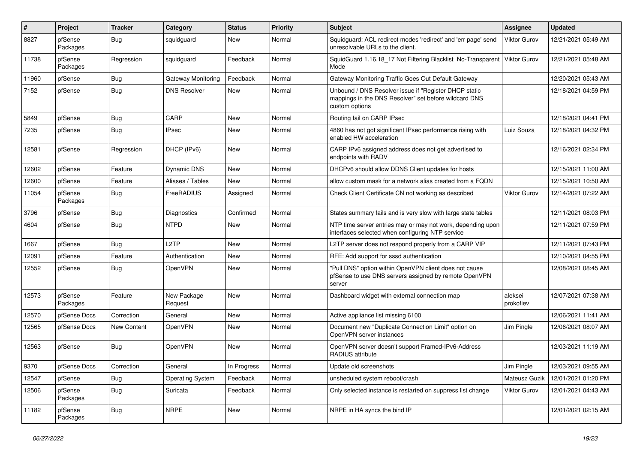| #     | Project             | <b>Tracker</b> | Category                | <b>Status</b> | <b>Priority</b> | <b>Subject</b>                                                                                                                   | <b>Assignee</b>      | Updated             |
|-------|---------------------|----------------|-------------------------|---------------|-----------------|----------------------------------------------------------------------------------------------------------------------------------|----------------------|---------------------|
| 8827  | pfSense<br>Packages | Bug            | squidguard              | New           | Normal          | Squidguard: ACL redirect modes 'redirect' and 'err page' send<br>unresolvable URLs to the client.                                | Viktor Gurov         | 12/21/2021 05:49 AM |
| 11738 | pfSense<br>Packages | Regression     | squidguard              | Feedback      | Normal          | SquidGuard 1.16.18_17 Not Filtering Blacklist No-Transparent<br>Mode                                                             | Viktor Gurov         | 12/21/2021 05:48 AM |
| 11960 | pfSense             | <b>Bug</b>     | Gateway Monitoring      | Feedback      | Normal          | Gateway Monitoring Traffic Goes Out Default Gateway                                                                              |                      | 12/20/2021 05:43 AM |
| 7152  | pfSense             | <b>Bug</b>     | <b>DNS Resolver</b>     | New           | Normal          | Unbound / DNS Resolver issue if "Register DHCP static<br>mappings in the DNS Resolver" set before wildcard DNS<br>custom options |                      | 12/18/2021 04:59 PM |
| 5849  | pfSense             | <b>Bug</b>     | CARP                    | New           | Normal          | Routing fail on CARP IPsec                                                                                                       |                      | 12/18/2021 04:41 PM |
| 7235  | pfSense             | <b>Bug</b>     | IPsec                   | New           | Normal          | 4860 has not got significant IPsec performance rising with<br>enabled HW acceleration                                            | Luiz Souza           | 12/18/2021 04:32 PM |
| 12581 | pfSense             | Regression     | DHCP (IPv6)             | New           | Normal          | CARP IPv6 assigned address does not get advertised to<br>endpoints with RADV                                                     |                      | 12/16/2021 02:34 PM |
| 12602 | pfSense             | Feature        | Dynamic DNS             | New           | Normal          | DHCPv6 should allow DDNS Client updates for hosts                                                                                |                      | 12/15/2021 11:00 AM |
| 12600 | pfSense             | Feature        | Aliases / Tables        | New           | Normal          | allow custom mask for a network alias created from a FQDN                                                                        |                      | 12/15/2021 10:50 AM |
| 11054 | pfSense<br>Packages | <b>Bug</b>     | FreeRADIUS              | Assigned      | Normal          | Check Client Certificate CN not working as described                                                                             | Viktor Gurov         | 12/14/2021 07:22 AM |
| 3796  | pfSense             | Bug            | <b>Diagnostics</b>      | Confirmed     | Normal          | States summary fails and is very slow with large state tables                                                                    |                      | 12/11/2021 08:03 PM |
| 4604  | pfSense             | <b>Bug</b>     | <b>NTPD</b>             | New           | Normal          | NTP time server entries may or may not work, depending upon<br>interfaces selected when configuring NTP service                  |                      | 12/11/2021 07:59 PM |
| 1667  | pfSense             | <b>Bug</b>     | L <sub>2</sub> TP       | <b>New</b>    | Normal          | L2TP server does not respond properly from a CARP VIP                                                                            |                      | 12/11/2021 07:43 PM |
| 12091 | pfSense             | Feature        | Authentication          | New           | Normal          | RFE: Add support for sssd authentication                                                                                         |                      | 12/10/2021 04:55 PM |
| 12552 | pfSense             | <b>Bug</b>     | OpenVPN                 | New           | Normal          | "Pull DNS" option within OpenVPN client does not cause<br>pfSense to use DNS servers assigned by remote OpenVPN<br>server        |                      | 12/08/2021 08:45 AM |
| 12573 | pfSense<br>Packages | Feature        | New Package<br>Request  | New           | Normal          | Dashboard widget with external connection map                                                                                    | aleksei<br>prokofiev | 12/07/2021 07:38 AM |
| 12570 | pfSense Docs        | Correction     | General                 | New           | Normal          | Active appliance list missing 6100                                                                                               |                      | 12/06/2021 11:41 AM |
| 12565 | pfSense Docs        | New Content    | OpenVPN                 | New           | Normal          | Document new "Duplicate Connection Limit" option on<br>OpenVPN server instances                                                  | Jim Pingle           | 12/06/2021 08:07 AM |
| 12563 | pfSense             | <b>Bug</b>     | OpenVPN                 | New           | Normal          | OpenVPN server doesn't support Framed-IPv6-Address<br>RADIUS attribute                                                           |                      | 12/03/2021 11:19 AM |
| 9370  | pfSense Docs        | Correction     | General                 | In Progress   | Normal          | Update old screenshots                                                                                                           | Jim Pingle           | 12/03/2021 09:55 AM |
| 12547 | pfSense             | <b>Bug</b>     | <b>Operating System</b> | Feedback      | Normal          | unsheduled system reboot/crash                                                                                                   | Mateusz Guzik        | 12/01/2021 01:20 PM |
| 12506 | pfSense<br>Packages | <b>Bug</b>     | Suricata                | Feedback      | Normal          | Only selected instance is restarted on suppress list change                                                                      | Viktor Gurov         | 12/01/2021 04:43 AM |
| 11182 | pfSense<br>Packages | Bug            | <b>NRPE</b>             | New           | Normal          | NRPE in HA syncs the bind IP                                                                                                     |                      | 12/01/2021 02:15 AM |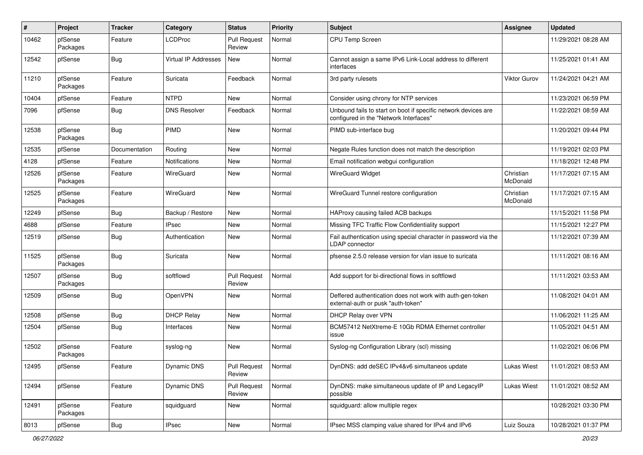| #     | Project             | <b>Tracker</b> | Category                    | <b>Status</b>                 | <b>Priority</b> | <b>Subject</b>                                                                                           | <b>Assignee</b>       | <b>Updated</b>      |
|-------|---------------------|----------------|-----------------------------|-------------------------------|-----------------|----------------------------------------------------------------------------------------------------------|-----------------------|---------------------|
| 10462 | pfSense<br>Packages | Feature        | <b>LCDProc</b>              | <b>Pull Request</b><br>Review | Normal          | CPU Temp Screen                                                                                          |                       | 11/29/2021 08:28 AM |
| 12542 | pfSense             | <b>Bug</b>     | <b>Virtual IP Addresses</b> | New                           | Normal          | Cannot assign a same IPv6 Link-Local address to different<br>interfaces                                  |                       | 11/25/2021 01:41 AM |
| 11210 | pfSense<br>Packages | Feature        | Suricata                    | Feedback                      | Normal          | 3rd party rulesets                                                                                       | Viktor Gurov          | 11/24/2021 04:21 AM |
| 10404 | pfSense             | Feature        | <b>NTPD</b>                 | <b>New</b>                    | Normal          | Consider using chrony for NTP services                                                                   |                       | 11/23/2021 06:59 PM |
| 7096  | pfSense             | <b>Bug</b>     | <b>DNS Resolver</b>         | Feedback                      | Normal          | Unbound fails to start on boot if specific network devices are<br>configured in the "Network Interfaces" |                       | 11/22/2021 08:59 AM |
| 12538 | pfSense<br>Packages | <b>Bug</b>     | <b>PIMD</b>                 | <b>New</b>                    | Normal          | PIMD sub-interface bug                                                                                   |                       | 11/20/2021 09:44 PM |
| 12535 | pfSense             | Documentation  | Routing                     | New                           | Normal          | Negate Rules function does not match the description                                                     |                       | 11/19/2021 02:03 PM |
| 4128  | pfSense             | Feature        | Notifications               | New                           | Normal          | Email notification webgui configuration                                                                  |                       | 11/18/2021 12:48 PM |
| 12526 | pfSense<br>Packages | Feature        | WireGuard                   | New                           | Normal          | <b>WireGuard Widget</b>                                                                                  | Christian<br>McDonald | 11/17/2021 07:15 AM |
| 12525 | pfSense<br>Packages | Feature        | WireGuard                   | New                           | Normal          | WireGuard Tunnel restore configuration                                                                   | Christian<br>McDonald | 11/17/2021 07:15 AM |
| 12249 | pfSense             | <b>Bug</b>     | Backup / Restore            | <b>New</b>                    | Normal          | HAProxy causing failed ACB backups                                                                       |                       | 11/15/2021 11:58 PM |
| 4688  | pfSense             | Feature        | <b>IPsec</b>                | New                           | Normal          | Missing TFC Traffic Flow Confidentiality support                                                         |                       | 11/15/2021 12:27 PM |
| 12519 | pfSense             | <b>Bug</b>     | Authentication              | New                           | Normal          | Fail authentication using special character in password via the<br><b>LDAP</b> connector                 |                       | 11/12/2021 07:39 AM |
| 11525 | pfSense<br>Packages | <b>Bug</b>     | Suricata                    | <b>New</b>                    | Normal          | pfsense 2.5.0 release version for vlan issue to suricata                                                 |                       | 11/11/2021 08:16 AM |
| 12507 | pfSense<br>Packages | <b>Bug</b>     | softflowd                   | <b>Pull Request</b><br>Review | Normal          | Add support for bi-directional flows in softflowd                                                        |                       | 11/11/2021 03:53 AM |
| 12509 | pfSense             | <b>Bug</b>     | OpenVPN                     | New                           | Normal          | Deffered authentication does not work with auth-gen-token<br>external-auth or pusk "auth-token"          |                       | 11/08/2021 04:01 AM |
| 12508 | pfSense             | <b>Bug</b>     | <b>DHCP Relay</b>           | New                           | Normal          | DHCP Relay over VPN                                                                                      |                       | 11/06/2021 11:25 AM |
| 12504 | pfSense             | <b>Bug</b>     | Interfaces                  | New                           | Normal          | BCM57412 NetXtreme-E 10Gb RDMA Ethernet controller<br>issue                                              |                       | 11/05/2021 04:51 AM |
| 12502 | pfSense<br>Packages | Feature        | syslog-ng                   | New                           | Normal          | Syslog-ng Configuration Library (scl) missing                                                            |                       | 11/02/2021 06:06 PM |
| 12495 | pfSense             | Feature        | <b>Dynamic DNS</b>          | <b>Pull Request</b><br>Review | Normal          | DynDNS: add deSEC IPv4&v6 simultaneos update                                                             | Lukas Wiest           | 11/01/2021 08:53 AM |
| 12494 | pfSense             | Feature        | Dynamic DNS                 | <b>Pull Request</b><br>Review | Normal          | DynDNS: make simultaneous update of IP and LegacyIP<br>possible                                          | Lukas Wiest           | 11/01/2021 08:52 AM |
| 12491 | pfSense<br>Packages | Feature        | squidguard                  | New                           | Normal          | squidguard: allow multiple regex                                                                         |                       | 10/28/2021 03:30 PM |
| 8013  | pfSense             | Bug            | <b>IPsec</b>                | New                           | Normal          | IPsec MSS clamping value shared for IPv4 and IPv6                                                        | Luiz Souza            | 10/28/2021 01:37 PM |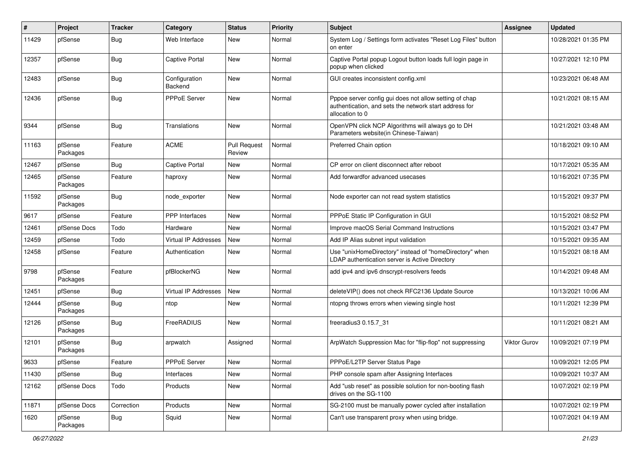| #     | Project             | <b>Tracker</b> | Category                    | <b>Status</b>                 | <b>Priority</b> | <b>Subject</b>                                                                                                                      | <b>Assignee</b> | <b>Updated</b>      |
|-------|---------------------|----------------|-----------------------------|-------------------------------|-----------------|-------------------------------------------------------------------------------------------------------------------------------------|-----------------|---------------------|
| 11429 | pfSense             | <b>Bug</b>     | Web Interface               | New                           | Normal          | System Log / Settings form activates "Reset Log Files" button<br>on enter                                                           |                 | 10/28/2021 01:35 PM |
| 12357 | pfSense             | Bug            | Captive Portal              | <b>New</b>                    | Normal          | Captive Portal popup Logout button loads full login page in<br>popup when clicked                                                   |                 | 10/27/2021 12:10 PM |
| 12483 | pfSense             | Bug            | Configuration<br>Backend    | New                           | Normal          | GUI creates inconsistent config.xml                                                                                                 |                 | 10/23/2021 06:48 AM |
| 12436 | pfSense             | <b>Bug</b>     | <b>PPPoE Server</b>         | New                           | Normal          | Pppoe server config gui does not allow setting of chap<br>authentication, and sets the network start address for<br>allocation to 0 |                 | 10/21/2021 08:15 AM |
| 9344  | pfSense             | <b>Bug</b>     | Translations                | <b>New</b>                    | Normal          | OpenVPN click NCP Algorithms will always go to DH<br>Parameters website(in Chinese-Taiwan)                                          |                 | 10/21/2021 03:48 AM |
| 11163 | pfSense<br>Packages | Feature        | <b>ACME</b>                 | <b>Pull Request</b><br>Review | Normal          | Preferred Chain option                                                                                                              |                 | 10/18/2021 09:10 AM |
| 12467 | pfSense             | Bug            | <b>Captive Portal</b>       | New                           | Normal          | CP error on client disconnect after reboot                                                                                          |                 | 10/17/2021 05:35 AM |
| 12465 | pfSense<br>Packages | Feature        | haproxy                     | New                           | Normal          | Add forwardfor advanced usecases                                                                                                    |                 | 10/16/2021 07:35 PM |
| 11592 | pfSense<br>Packages | <b>Bug</b>     | node exporter               | <b>New</b>                    | Normal          | Node exporter can not read system statistics                                                                                        |                 | 10/15/2021 09:37 PM |
| 9617  | pfSense             | Feature        | PPP Interfaces              | New                           | Normal          | PPPoE Static IP Configuration in GUI                                                                                                |                 | 10/15/2021 08:52 PM |
| 12461 | pfSense Docs        | Todo           | Hardware                    | New                           | Normal          | Improve macOS Serial Command Instructions                                                                                           |                 | 10/15/2021 03:47 PM |
| 12459 | pfSense             | Todo           | <b>Virtual IP Addresses</b> | New                           | Normal          | Add IP Alias subnet input validation                                                                                                |                 | 10/15/2021 09:35 AM |
| 12458 | pfSense             | Feature        | Authentication              | New                           | Normal          | Use "unixHomeDirectory" instead of "homeDirectory" when<br>LDAP authentication server is Active Directory                           |                 | 10/15/2021 08:18 AM |
| 9798  | pfSense<br>Packages | Feature        | pfBlockerNG                 | New                           | Normal          | add ipv4 and ipv6 dnscrypt-resolvers feeds                                                                                          |                 | 10/14/2021 09:48 AM |
| 12451 | pfSense             | Bug            | Virtual IP Addresses        | New                           | Normal          | deleteVIP() does not check RFC2136 Update Source                                                                                    |                 | 10/13/2021 10:06 AM |
| 12444 | pfSense<br>Packages | <b>Bug</b>     | ntop                        | <b>New</b>                    | Normal          | ntopng throws errors when viewing single host                                                                                       |                 | 10/11/2021 12:39 PM |
| 12126 | pfSense<br>Packages | <b>Bug</b>     | FreeRADIUS                  | New                           | Normal          | freeradius3 0.15.7 31                                                                                                               |                 | 10/11/2021 08:21 AM |
| 12101 | pfSense<br>Packages | <b>Bug</b>     | arpwatch                    | Assigned                      | Normal          | ArpWatch Suppression Mac for "flip-flop" not suppressing                                                                            | Viktor Gurov    | 10/09/2021 07:19 PM |
| 9633  | pfSense             | Feature        | PPPoE Server                | New                           | Normal          | PPPoE/L2TP Server Status Page                                                                                                       |                 | 10/09/2021 12:05 PM |
| 11430 | pfSense             | <b>Bug</b>     | Interfaces                  | New                           | Normal          | PHP console spam after Assigning Interfaces                                                                                         |                 | 10/09/2021 10:37 AM |
| 12162 | pfSense Docs        | Todo           | Products                    | New                           | Normal          | Add "usb reset" as possible solution for non-booting flash<br>drives on the SG-1100                                                 |                 | 10/07/2021 02:19 PM |
| 11871 | pfSense Docs        | Correction     | Products                    | New                           | Normal          | SG-2100 must be manually power cycled after installation                                                                            |                 | 10/07/2021 02:19 PM |
| 1620  | pfSense<br>Packages | <b>Bug</b>     | Squid                       | New                           | Normal          | Can't use transparent proxy when using bridge.                                                                                      |                 | 10/07/2021 04:19 AM |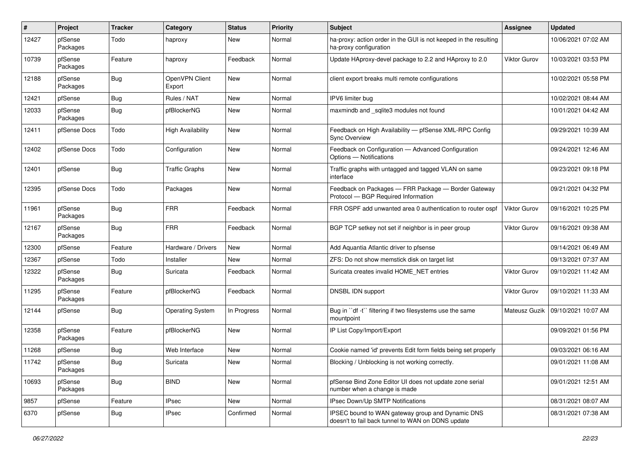| #     | Project             | <b>Tracker</b>   | Category                 | <b>Status</b> | <b>Priority</b> | <b>Subject</b>                                                                                        | <b>Assignee</b> | <b>Updated</b>      |
|-------|---------------------|------------------|--------------------------|---------------|-----------------|-------------------------------------------------------------------------------------------------------|-----------------|---------------------|
| 12427 | pfSense<br>Packages | Todo             | haproxy                  | New           | Normal          | ha-proxy: action order in the GUI is not keeped in the resulting<br>ha-proxy configuration            |                 | 10/06/2021 07:02 AM |
| 10739 | pfSense<br>Packages | Feature          | haproxy                  | Feedback      | Normal          | Update HAproxy-devel package to 2.2 and HAproxy to 2.0                                                | Viktor Gurov    | 10/03/2021 03:53 PM |
| 12188 | pfSense<br>Packages | Bug              | OpenVPN Client<br>Export | New           | Normal          | client export breaks multi remote configurations                                                      |                 | 10/02/2021 05:58 PM |
| 12421 | pfSense             | <b>Bug</b>       | Rules / NAT              | New           | Normal          | IPV6 limiter bug                                                                                      |                 | 10/02/2021 08:44 AM |
| 12033 | pfSense<br>Packages | <b>Bug</b>       | pfBlockerNG              | New           | Normal          | maxmindb and _sqlite3 modules not found                                                               |                 | 10/01/2021 04:42 AM |
| 12411 | pfSense Docs        | Todo             | High Availability        | New           | Normal          | Feedback on High Availability - pfSense XML-RPC Config<br><b>Sync Overview</b>                        |                 | 09/29/2021 10:39 AM |
| 12402 | pfSense Docs        | Todo             | Configuration            | New           | Normal          | Feedback on Configuration - Advanced Configuration<br>Options - Notifications                         |                 | 09/24/2021 12:46 AM |
| 12401 | pfSense             | Bug              | <b>Traffic Graphs</b>    | New           | Normal          | Traffic graphs with untagged and tagged VLAN on same<br>interface                                     |                 | 09/23/2021 09:18 PM |
| 12395 | pfSense Docs        | Todo             | Packages                 | New           | Normal          | Feedback on Packages - FRR Package - Border Gateway<br>Protocol - BGP Required Information            |                 | 09/21/2021 04:32 PM |
| 11961 | pfSense<br>Packages | <b>Bug</b>       | <b>FRR</b>               | Feedback      | Normal          | FRR OSPF add unwanted area 0 authentication to router ospf                                            | Viktor Gurov    | 09/16/2021 10:25 PM |
| 12167 | pfSense<br>Packages | <b>Bug</b>       | <b>FRR</b>               | Feedback      | Normal          | BGP TCP setkey not set if neighbor is in peer group                                                   | Viktor Gurov    | 09/16/2021 09:38 AM |
| 12300 | pfSense             | Feature          | Hardware / Drivers       | New           | Normal          | Add Aquantia Atlantic driver to pfsense                                                               |                 | 09/14/2021 06:49 AM |
| 12367 | pfSense             | Todo             | Installer                | New           | Normal          | ZFS: Do not show memstick disk on target list                                                         |                 | 09/13/2021 07:37 AM |
| 12322 | pfSense<br>Packages | Bug              | Suricata                 | Feedback      | Normal          | Suricata creates invalid HOME_NET entries                                                             | Viktor Gurov    | 09/10/2021 11:42 AM |
| 11295 | pfSense<br>Packages | Feature          | pfBlockerNG              | Feedback      | Normal          | DNSBL IDN support                                                                                     | Viktor Gurov    | 09/10/2021 11:33 AM |
| 12144 | pfSense             | <b>Bug</b>       | <b>Operating System</b>  | In Progress   | Normal          | Bug in "df -t" filtering if two filesystems use the same<br>mountpoint                                | Mateusz Guzik   | 09/10/2021 10:07 AM |
| 12358 | pfSense<br>Packages | Feature          | pfBlockerNG              | New           | Normal          | IP List Copy/Import/Export                                                                            |                 | 09/09/2021 01:56 PM |
| 11268 | pfSense             | Bug              | Web Interface            | New           | Normal          | Cookie named 'id' prevents Edit form fields being set properly                                        |                 | 09/03/2021 06:16 AM |
| 11742 | pfSense<br>Packages | <sub>i</sub> Bug | Suricata                 | New           | Normal          | Blocking / Unblocking is not working correctly.                                                       |                 | 09/01/2021 11:08 AM |
| 10693 | pfSense<br>Packages | <b>Bug</b>       | <b>BIND</b>              | New           | Normal          | pfSense Bind Zone Editor UI does not update zone serial<br>number when a change is made               |                 | 09/01/2021 12:51 AM |
| 9857  | pfSense             | Feature          | <b>IPsec</b>             | New           | Normal          | IPsec Down/Up SMTP Notifications                                                                      |                 | 08/31/2021 08:07 AM |
| 6370  | pfSense             | <b>Bug</b>       | <b>IPsec</b>             | Confirmed     | Normal          | IPSEC bound to WAN gateway group and Dynamic DNS<br>doesn't to fail back tunnel to WAN on DDNS update |                 | 08/31/2021 07:38 AM |